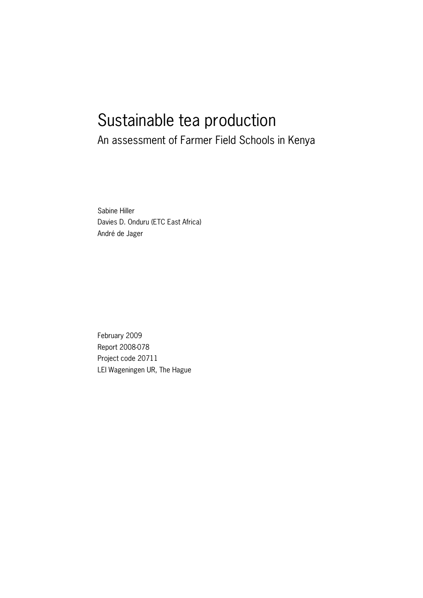# Sustainable tea production

An assessment of Farmer Field Schools in Kenya

Sabine Hiller Davies D. Onduru (ETC East Africa) André de Jager

February 2009 Report 2008-078 Project code 20711 LEI Wageningen UR, The Hague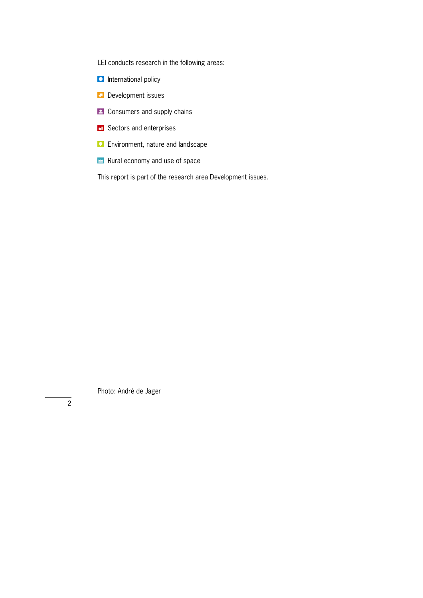LEI conducts research in the following areas:

- **D** International policy
- **Development issues**
- **E** Consumers and supply chains
- **E** Sectors and enterprises
- **Environment, nature and landscape**
- Rural economy and use of space

This report is part of the research area Development issues.

Photo: André de Jager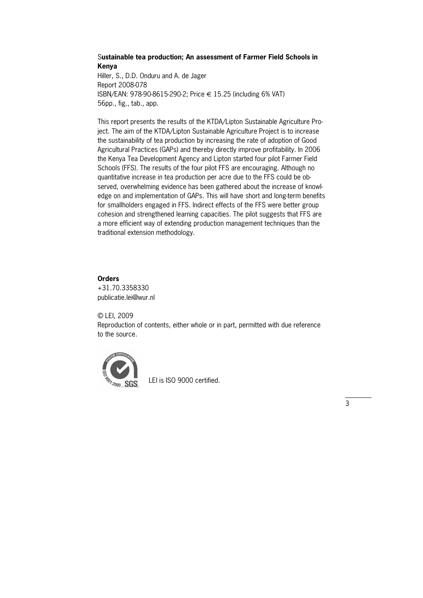# S**ustainable tea production; An assessment of Farmer Field Schools in Kenya**

Hiller, S., D.D. Onduru and A. de Jager Report 2008-078 ISBN/EAN: 978-90-8615-290-2; Price € 15.25 (including 6% VAT) 56pp., fig., tab., app.

This report presents the results of the KTDA/Lipton Sustainable Agriculture Pro\* ject. The aim of the KTDA/Lipton Sustainable Agriculture Project is to increase the sustainability of tea production by increasing the rate of adoption of Good Agricultural Practices (GAPs) and thereby directly improve profitability. In 2006 the Kenya Tea Development Agency and Lipton started four pilot Farmer Field Schools (FFS). The results of the four pilot FFS are encouraging. Although no quantitative increase in tea production per acre due to the FFS could be observed, overwhelming evidence has been gathered about the increase of knowl\* edge on and implementation of GAPs. This will have short and long-term benefits for smallholders engaged in FFS. Indirect effects of the FFS were better group cohesion and strengthened learning capacities. The pilot suggests that FFS are a more efficient way of extending production management techniques than the traditional extension methodology.

# **Orders**

+31.70.3358330 publicatie.lei@wur.nl

© LEI, 2009 Reproduction of contents, either whole or in part, permitted with due reference to the source.



LEI is ISO 9000 certified.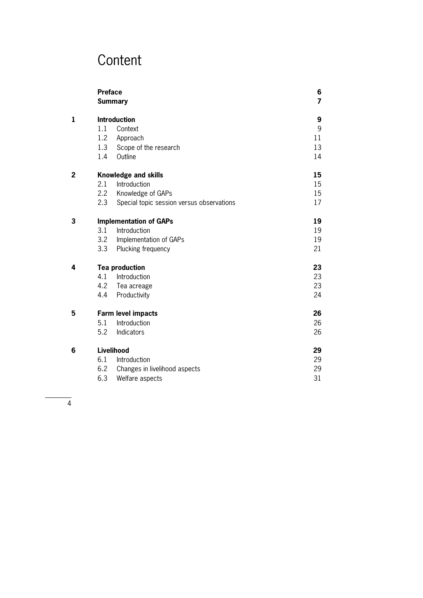# **Content**

|              | <b>Preface</b>      | 6<br>$\overline{7}$                       |    |  |  |  |  |
|--------------|---------------------|-------------------------------------------|----|--|--|--|--|
|              |                     | <b>Summary</b>                            |    |  |  |  |  |
| $\mathbf{1}$ | <b>Introduction</b> | 9                                         |    |  |  |  |  |
|              | 1.1                 | Context                                   | 9  |  |  |  |  |
|              | 1.2                 | Approach                                  | 11 |  |  |  |  |
|              | 1.3                 | Scope of the research                     | 13 |  |  |  |  |
|              | 1.4                 | Outline                                   | 14 |  |  |  |  |
| 2            |                     | <b>Knowledge and skills</b>               |    |  |  |  |  |
|              | 2.1                 | 15                                        |    |  |  |  |  |
|              | $2.2^{\circ}$       | Knowledge of GAPs                         | 15 |  |  |  |  |
|              | 2.3                 | Special topic session versus observations | 17 |  |  |  |  |
| 3            |                     | <b>Implementation of GAPs</b>             |    |  |  |  |  |
|              | 3.1                 | Introduction                              |    |  |  |  |  |
|              | 3.2                 | Implementation of GAPs                    | 19 |  |  |  |  |
|              | 3.3                 | Plucking frequency                        | 21 |  |  |  |  |
| 4            |                     | <b>Tea production</b>                     |    |  |  |  |  |
|              | 4.1                 | Introduction                              | 23 |  |  |  |  |
|              | 4.2                 | Tea acreage                               | 23 |  |  |  |  |
|              | 4.4                 | Productivity                              | 24 |  |  |  |  |
| 5            |                     | <b>Farm level impacts</b>                 | 26 |  |  |  |  |
|              | 5.1                 | Introduction                              | 26 |  |  |  |  |
|              | 5.2                 | Indicators                                | 26 |  |  |  |  |
| 6            |                     | Livelihood                                |    |  |  |  |  |
|              | 6.1                 | Introduction                              | 29 |  |  |  |  |
|              | 6.2                 | Changes in livelihood aspects             | 29 |  |  |  |  |
|              | 6.3                 | 31                                        |    |  |  |  |  |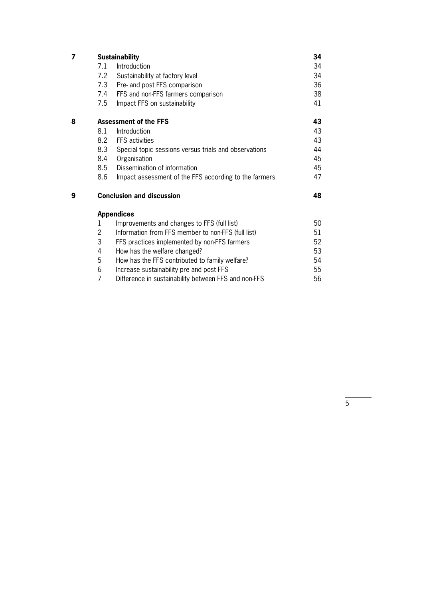| 7 |                | <b>Sustainability</b>                                 | 34 |
|---|----------------|-------------------------------------------------------|----|
|   | 7.1            | Introduction                                          | 34 |
|   | 7.2            | Sustainability at factory level                       | 34 |
|   | 7.3            | Pre- and post FFS comparison                          | 36 |
|   | 7.4            | FFS and non-FFS farmers comparison                    | 38 |
|   | 7.5            | Impact FFS on sustainability                          | 41 |
| 8 |                | <b>Assessment of the FFS</b>                          | 43 |
|   | 8.1            | Introduction                                          | 43 |
|   | 8.2            | <b>FFS</b> activities                                 | 43 |
|   | 8.3            | Special topic sessions versus trials and observations | 44 |
|   | 8.4            | Organisation                                          | 45 |
|   | 8.5            | Dissemination of information                          | 45 |
|   | 8.6            | Impact assessment of the FFS according to the farmers | 47 |
| 9 |                | <b>Conclusion and discussion</b>                      | 48 |
|   |                | <b>Appendices</b>                                     |    |
|   | 1              | Improvements and changes to FFS (full list)           | 50 |
|   | 2              | Information from FFS member to non-FFS (full list)    | 51 |
|   | 3              | FFS practices implemented by non-FFS farmers          | 52 |
|   | 4              | How has the welfare changed?                          | 53 |
|   | 5              | How has the FFS contributed to family welfare?        | 54 |
|   | 6              | Increase sustainability pre and post FFS              | 55 |
|   | $\overline{7}$ | Difference in sustainability between FFS and non-FFS  | 56 |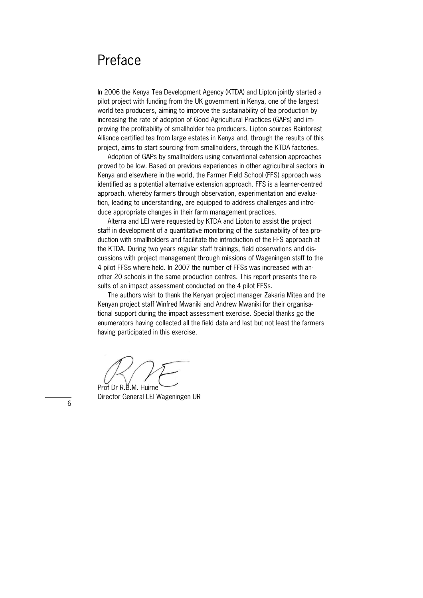# Preface

In 2006 the Kenya Tea Development Agency (KTDA) and Lipton jointly started a pilot project with funding from the UK government in Kenya, one of the largest world tea producers, aiming to improve the sustainability of tea production by increasing the rate of adoption of Good Agricultural Practices (GAPs) and improving the profitability of smallholder tea producers. Lipton sources Rainforest Alliance certified tea from large estates in Kenya and, through the results of this project, aims to start sourcing from smallholders, through the KTDA factories.

Adoption of GAPs by smallholders using conventional extension approaches proved to be low. Based on previous experiences in other agricultural sectors in Kenya and elsewhere in the world, the Farmer Field School (FFS) approach was identified as a potential alternative extension approach. FFS is a learner-centred approach, whereby farmers through observation, experimentation and evaluation, leading to understanding, are equipped to address challenges and intro\* duce appropriate changes in their farm management practices.

Alterra and LEI were requested by KTDA and Lipton to assist the project staff in development of a quantitative monitoring of the sustainability of tea production with smallholders and facilitate the introduction of the FFS approach at the KTDA. During two years regular staff trainings, field observations and dis\* cussions with project management through missions of Wageningen staff to the 4 pilot FFSs where held. In 2007 the number of FFSs was increased with an\* other 20 schools in the same production centres. This report presents the results of an impact assessment conducted on the 4 pilot FFSs.

The authors wish to thank the Kenyan project manager Zakaria Mitea and the Kenyan project staff Winfred Mwaniki and Andrew Mwaniki for their organisational support during the impact assessment exercise. Special thanks go the enumerators having collected all the field data and last but not least the farmers having participated in this exercise.

Prof Dr R B.M. Huirne

Director General LEI Wageningen UR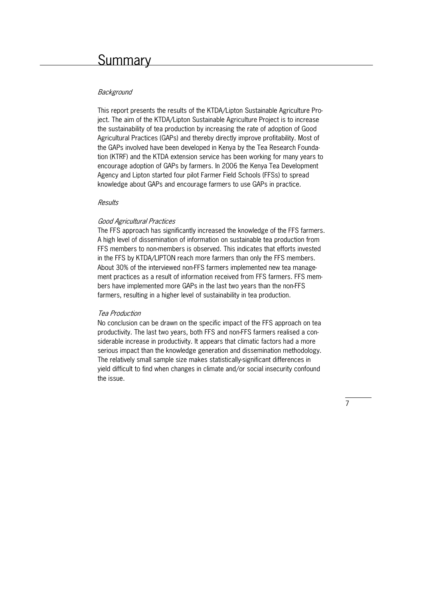# Background

This report presents the results of the KTDA/Lipton Sustainable Agriculture Pro\* ject. The aim of the KTDA/Lipton Sustainable Agriculture Project is to increase the sustainability of tea production by increasing the rate of adoption of Good Agricultural Practices (GAPs) and thereby directly improve profitability. Most of the GAPs involved have been developed in Kenya by the Tea Research Founda\* tion (KTRF) and the KTDA extension service has been working for many years to encourage adoption of GAPs by farmers. In 2006 the Kenya Tea Development Agency and Lipton started four pilot Farmer Field Schools (FFSs) to spread knowledge about GAPs and encourage farmers to use GAPs in practice.

#### Results

#### Good Agricultural Practices

The FFS approach has significantly increased the knowledge of the FFS farmers. A high level of dissemination of information on sustainable tea production from FFS members to non-members is observed. This indicates that efforts invested in the FFS by KTDA/LIPTON reach more farmers than only the FFS members. About 30% of the interviewed non-FFS farmers implemented new tea management practices as a result of information received from FFS farmers. FFS members have implemented more GAPs in the last two years than the non-FFS farmers, resulting in a higher level of sustainability in tea production.

#### Tea Production

No conclusion can be drawn on the specific impact of the FFS approach on tea productivity. The last two years, both FFS and non-FFS farmers realised a considerable increase in productivity. It appears that climatic factors had a more serious impact than the knowledge generation and dissemination methodology. The relatively small sample size makes statistically-significant differences in yield difficult to find when changes in climate and/or social insecurity confound the issue.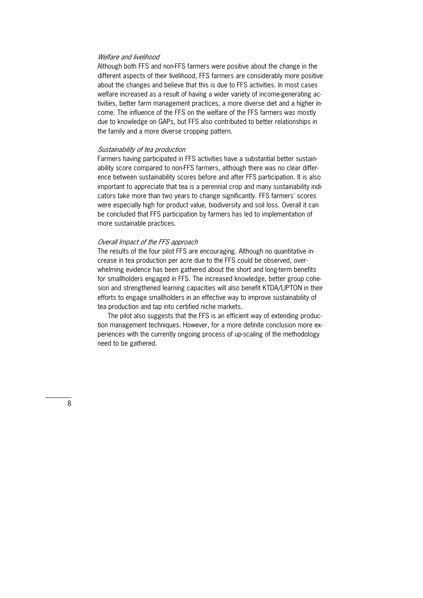#### Welfare and livelihood

Although both FFS and non-FFS farmers were positive about the change in the different aspects of their livelihood, FFS farmers are considerably more positive about the changes and believe that this is due to FFS activities. In most cases welfare increased as a result of having a wider variety of income-generating activities, better farm management practices, a more diverse diet and a higher in\* come. The influence of the FFS on the welfare of the FFS farmers was mostly due to knowledge on GAPs, but FFS also contributed to better relationships in the family and a more diverse cropping pattern.

#### Sustainability of tea production

Farmers having participated in FFS activities have a substantial better sustain\* ability score compared to non-FFS farmers, although there was no clear difference between sustainability scores before and after FFS participation. It is also important to appreciate that tea is a perennial crop and many sustainability indicators take more than two years to change significantly. FFS farmers' scores were especially high for product value, biodiversity and soil loss. Overall it can be concluded that FFS participation by farmers has led to implementation of more sustainable practices.

#### Overall Impact of the FFS approach

The results of the four pilot FFS are encouraging. Although no quantitative in\* crease in tea production per acre due to the FFS could be observed, over\* whelming evidence has been gathered about the short and long-term benefits for smallholders engaged in FFS. The increased knowledge, better group cohe\* sion and strengthened learning capacities will also benefit KTDA/LIPTON in their efforts to engage smallholders in an effective way to improve sustainability of tea production and tap into certified niche markets.

The pilot also suggests that the FFS is an efficient way of extending production management techniques. However, for a more definite conclusion more experiences with the currently ongoing process of up-scaling of the methodology need to be gathered.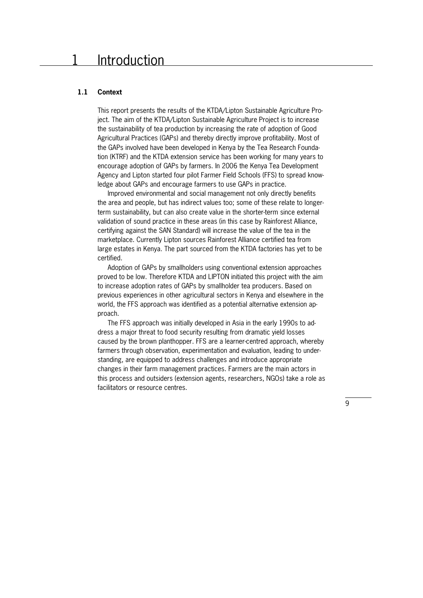# **1.1 Context**

This report presents the results of the KTDA/Lipton Sustainable Agriculture Pro\* ject. The aim of the KTDA/Lipton Sustainable Agriculture Project is to increase the sustainability of tea production by increasing the rate of adoption of Good Agricultural Practices (GAPs) and thereby directly improve profitability. Most of the GAPs involved have been developed in Kenya by the Tea Research Founda\* tion (KTRF) and the KTDA extension service has been working for many years to encourage adoption of GAPs by farmers. In 2006 the Kenya Tea Development Agency and Lipton started four pilot Farmer Field Schools (FFS) to spread knowledge about GAPs and encourage farmers to use GAPs in practice.

 Improved environmental and social management not only directly benefits the area and people, but has indirect values too; some of these relate to longer\* term sustainability, but can also create value in the shorter-term since external validation of sound practice in these areas (in this case by Rainforest Alliance, certifying against the SAN Standard) will increase the value of the tea in the marketplace. Currently Lipton sources Rainforest Alliance certified tea from large estates in Kenya. The part sourced from the KTDA factories has yet to be certified.

 Adoption of GAPs by smallholders using conventional extension approaches proved to be low. Therefore KTDA and LIPTON initiated this project with the aim to increase adoption rates of GAPs by smallholder tea producers. Based on previous experiences in other agricultural sectors in Kenya and elsewhere in the world, the FFS approach was identified as a potential alternative extension approach.

The FFS approach was initially developed in Asia in the early 1990s to address a major threat to food security resulting from dramatic yield losses caused by the brown planthopper. FFS are a learner-centred approach, whereby farmers through observation, experimentation and evaluation, leading to understanding, are equipped to address challenges and introduce appropriate changes in their farm management practices. Farmers are the main actors in this process and outsiders (extension agents, researchers, NGOs) take a role as facilitators or resource centres.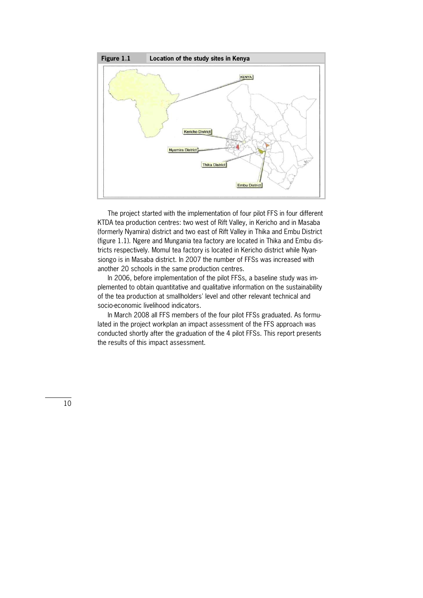

 The project started with the implementation of four pilot FFS in four different KTDA tea production centres: two west of Rift Valley, in Kericho and in Masaba (formerly Nyamira) district and two east of Rift Valley in Thika and Embu District (figure  $1.1$ ). Ngere and Mungania tea factory are located in Thika and Embu districts respectively. Momul tea factory is located in Kericho district while Nyan\* siongo is in Masaba district. In 2007 the number of FFSs was increased with another 20 schools in the same production centres.

In 2006, before implementation of the pilot FFSs, a baseline study was implemented to obtain quantitative and qualitative information on the sustainability of the tea production at smallholders' level and other relevant technical and socio-economic livelihood indicators.

In March 2008 all FFS members of the four pilot FFSs graduated. As formulated in the project workplan an impact assessment of the FFS approach was conducted shortly after the graduation of the 4 pilot FFSs. This report presents the results of this impact assessment.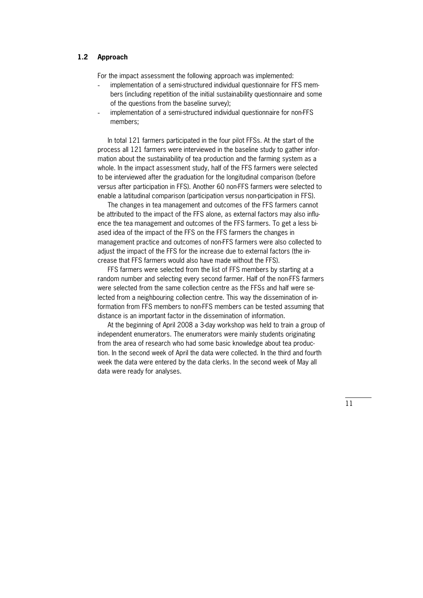#### **1.2 Approach**

For the impact assessment the following approach was implemented:

- implementation of a semi-structured individual questionnaire for FFS members (including repetition of the initial sustainability questionnaire and some of the questions from the baseline survey);
- implementation of a semi-structured individual questionnaire for non-FFS members;

 In total 121 farmers participated in the four pilot FFSs. At the start of the process all 121 farmers were interviewed in the baseline study to gather infor\* mation about the sustainability of tea production and the farming system as a whole. In the impact assessment study, half of the FFS farmers were selected to be interviewed after the graduation for the longitudinal comparison (before versus after participation in FFS). Another 60 non-FFS farmers were selected to enable a latitudinal comparison (participation versus non-participation in FFS).

 The changes in tea management and outcomes of the FFS farmers cannot be attributed to the impact of the FFS alone, as external factors may also influ\* ence the tea management and outcomes of the FFS farmers. To get a less biased idea of the impact of the FFS on the FFS farmers the changes in management practice and outcomes of non-FFS farmers were also collected to adjust the impact of the FFS for the increase due to external factors (the increase that FFS farmers would also have made without the FFS).

 FFS farmers were selected from the list of FFS members by starting at a random number and selecting every second farmer. Half of the non-FFS farmers were selected from the same collection centre as the FFSs and half were selected from a neighbouring collection centre. This way the dissemination of in\* formation from FFS members to non-FFS members can be tested assuming that distance is an important factor in the dissemination of information.

At the beginning of April 2008 a 3-day workshop was held to train a group of independent enumerators. The enumerators were mainly students originating from the area of research who had some basic knowledge about tea produc\* tion. In the second week of April the data were collected. In the third and fourth week the data were entered by the data clerks. In the second week of May all data were ready for analyses.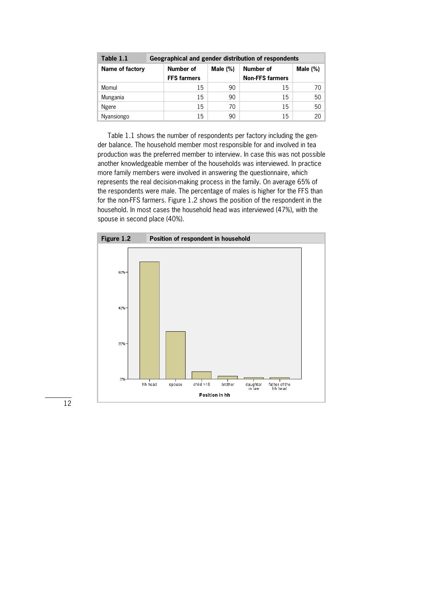| Table 1.1       | Geographical and gender distribution of respondents |             |                        |             |  |  |  |  |
|-----------------|-----------------------------------------------------|-------------|------------------------|-------------|--|--|--|--|
| Name of factory | Number of                                           | Male $(\%)$ | <b>Number of</b>       | Male $(\%)$ |  |  |  |  |
|                 | <b>FFS farmers</b>                                  |             | <b>Non-FFS farmers</b> |             |  |  |  |  |
| Momul           | 15                                                  | 90          | 15                     | 70.         |  |  |  |  |
| Mungania        | 15                                                  | 90          | 15                     | 50          |  |  |  |  |
| Ngere           | 15                                                  | 70          | 15                     | 50          |  |  |  |  |
| Nyansiongo      | 15                                                  | 90          | 15                     | 20          |  |  |  |  |

 Table 1.1 shows the number of respondents per factory including the gen\* der balance. The household member most responsible for and involved in tea production was the preferred member to interview. In case this was not possible another knowledgeable member of the households was interviewed. In practice more family members were involved in answering the questionnaire, which represents the real decision-making process in the family. On average 65% of the respondents were male. The percentage of males is higher for the FFS than for the non-FFS farmers. Figure 1.2 shows the position of the respondent in the household. In most cases the household head was interviewed (47%), with the spouse in second place (40%).

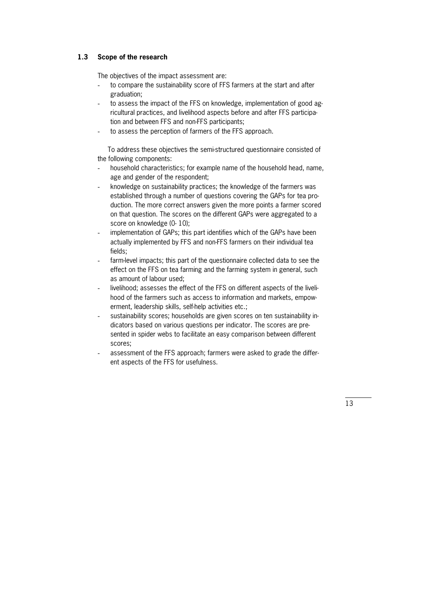# **1.3 Scope of the research**

The objectives of the impact assessment are:

- to compare the sustainability score of FFS farmers at the start and after graduation;
- to assess the impact of the FFS on knowledge, implementation of good agricultural practices, and livelihood aspects before and after FFS participa\* tion and between FFS and non-FFS participants;
- to assess the perception of farmers of the FFS approach.

To address these objectives the semi-structured questionnaire consisted of the following components:

- household characteristics; for example name of the household head, name, age and gender of the respondent;
- knowledge on sustainability practices; the knowledge of the farmers was established through a number of questions covering the GAPs for tea production. The more correct answers given the more points a farmer scored on that question. The scores on the different GAPs were aggregated to a score on knowledge (0-10);
- implementation of GAPs; this part identifies which of the GAPs have been actually implemented by FFS and non-FFS farmers on their individual tea fields;
- farm-level impacts; this part of the questionnaire collected data to see the effect on the FFS on tea farming and the farming system in general, such as amount of labour used;
- livelihood; assesses the effect of the FFS on different aspects of the livelihood of the farmers such as access to information and markets, empowerment, leadership skills, self-help activities etc.;
- sustainability scores; households are given scores on ten sustainability indicators based on various questions per indicator. The scores are pre\* sented in spider webs to facilitate an easy comparison between different scores;
- assessment of the FFS approach; farmers were asked to grade the different aspects of the FFS for usefulness.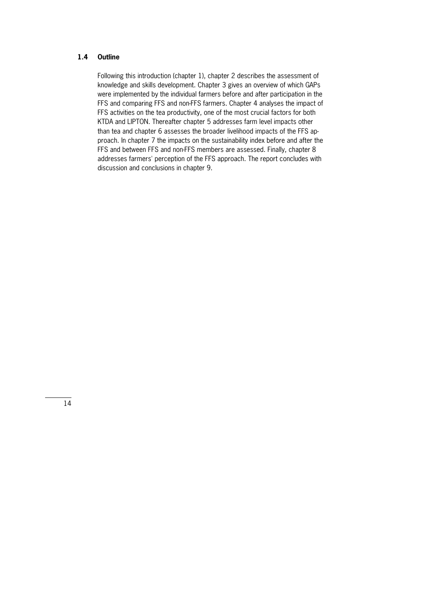# **1.4 Outline**

Following this introduction (chapter 1), chapter 2 describes the assessment of knowledge and skills development. Chapter 3 gives an overview of which GAPs were implemented by the individual farmers before and after participation in the FFS and comparing FFS and non-FFS farmers. Chapter 4 analyses the impact of FFS activities on the tea productivity, one of the most crucial factors for both KTDA and LIPTON. Thereafter chapter 5 addresses farm level impacts other than tea and chapter 6 assesses the broader livelihood impacts of the FFS ap\* proach. In chapter 7 the impacts on the sustainability index before and after the FFS and between FFS and non-FFS members are assessed. Finally, chapter 8 addresses farmers' perception of the FFS approach. The report concludes with discussion and conclusions in chapter 9.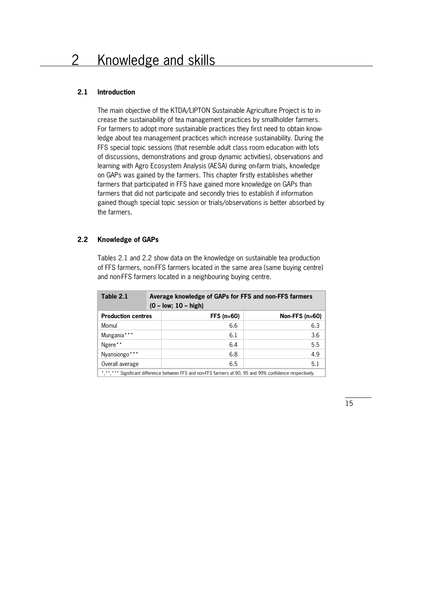# **2.1 Introduction**

The main objective of the KTDA/LIPTON Sustainable Agriculture Project is to increase the sustainability of tea management practices by smallholder farmers. For farmers to adopt more sustainable practices they first need to obtain knowledge about tea management practices which increase sustainability. During the FFS special topic sessions (that resemble adult class room education with lots of discussions, demonstrations and group dynamic activities), observations and learning with Agro Ecosystem Analysis (AESA) during on-farm trials, knowledge on GAPs was gained by the farmers. This chapter firstly establishes whether farmers that participated in FFS have gained more knowledge on GAPs than farmers that did not participate and secondly tries to establish if information gained though special topic session or trials/observations is better absorbed by the farmers.

# **2.2 Knowledge of GAPs**

Tables 2.1 and 2.2 show data on the knowledge on sustainable tea production of FFS farmers, non-FFS farmers located in the same area (same buying centre) and non-FFS farmers located in a neighbouring buying centre.

| Table 2.1                                                                                                  | $(0 - low; 10 - high)$ | Average knowledge of GAPs for FFS and non-FFS farmers |  |  |  |  |  |
|------------------------------------------------------------------------------------------------------------|------------------------|-------------------------------------------------------|--|--|--|--|--|
| <b>Production centres</b>                                                                                  | $FFS$ (n=60)           | Non-FFS $(n=60)$                                      |  |  |  |  |  |
| Momul                                                                                                      |                        | 6.3<br>6.6                                            |  |  |  |  |  |
| Mungania***                                                                                                |                        | 3.6<br>6.1                                            |  |  |  |  |  |
| Ngere**                                                                                                    |                        | 5.5<br>6.4                                            |  |  |  |  |  |
| Nyansiongo***                                                                                              |                        | 4.9<br>6.8                                            |  |  |  |  |  |
| Overall average                                                                                            |                        | 5.1<br>6.5                                            |  |  |  |  |  |
| *,**,*** Significant difference between FFS and non-FFS farmers at 90, 95 and 99% confidence respectively. |                        |                                                       |  |  |  |  |  |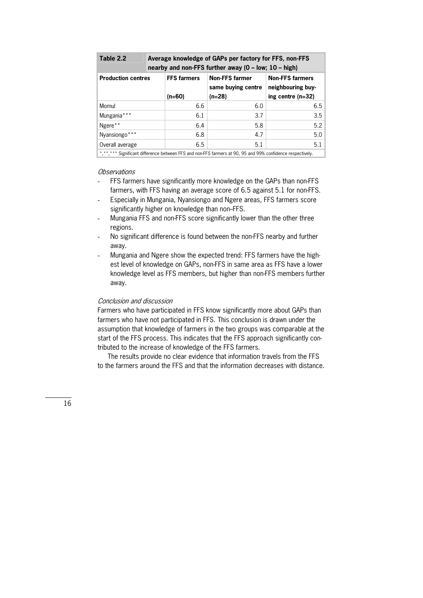| Table 2.2                                                                                                  |  | Average knowledge of GAPs per factory for FFS, non-FFS<br>nearby and non-FFS further away $(0 - low; 10 - high)$ |                                             |                                             |  |  |  |  |
|------------------------------------------------------------------------------------------------------------|--|------------------------------------------------------------------------------------------------------------------|---------------------------------------------|---------------------------------------------|--|--|--|--|
| <b>Production centres</b>                                                                                  |  | <b>FFS farmers</b>                                                                                               | <b>Non-FFS farmer</b><br>same buying centre | <b>Non-FFS farmers</b><br>neighbouring buy- |  |  |  |  |
|                                                                                                            |  | $(n=60)$                                                                                                         | $(n=28)$                                    | ing centre $(n=32)$                         |  |  |  |  |
| Momul                                                                                                      |  | 6.6                                                                                                              | 6.0                                         | 6.5                                         |  |  |  |  |
| Mungania***                                                                                                |  | 6.1                                                                                                              | 3.7                                         | 3.5                                         |  |  |  |  |
| Ngere**                                                                                                    |  | 6.4                                                                                                              | 5.8                                         | 5.2                                         |  |  |  |  |
| Nyansiongo***                                                                                              |  | 6.8                                                                                                              | 4.7                                         | 5.0                                         |  |  |  |  |
| Overall average                                                                                            |  | 6.5                                                                                                              | 5.1                                         | 5.1                                         |  |  |  |  |
| *,**,*** Significant difference between FFS and non-FFS farmers at 90, 95 and 99% confidence respectively. |  |                                                                                                                  |                                             |                                             |  |  |  |  |

- FFS farmers have significantly more knowledge on the GAPs than non-FFS farmers, with FFS having an average score of 6.5 against 5.1 for non-FFS.
- Especially in Mungania, Nyansiongo and Ngere areas, FFS farmers score significantly higher on knowledge than non-FFS.
- Mungania FFS and non-FFS score significantly lower than the other three regions.
- No significant difference is found between the non-FFS nearby and further away.
- Mungania and Ngere show the expected trend: FFS farmers have the highest level of knowledge on GAPs, non-FFS in same area as FFS have a lower knowledge level as FFS members, but higher than non-FFS members further away.

#### Conclusion and discussion

Farmers who have participated in FFS know significantly more about GAPs than farmers who have not participated in FFS. This conclusion is drawn under the assumption that knowledge of farmers in the two groups was comparable at the start of the FFS process. This indicates that the FFS approach significantly con\* tributed to the increase of knowledge of the FFS farmers.

 The results provide no clear evidence that information travels from the FFS to the farmers around the FFS and that the information decreases with distance.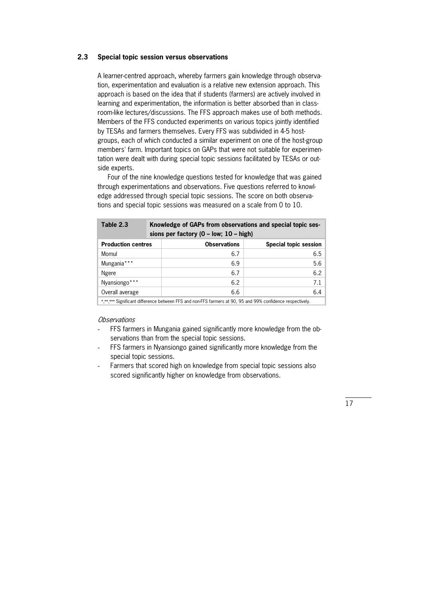### **2.3 Special topic session versus observations**

A learner-centred approach, whereby farmers gain knowledge through observation, experimentation and evaluation is a relative new extension approach. This approach is based on the idea that if students (farmers) are actively involved in learning and experimentation, the information is better absorbed than in classroom-like lectures/discussions. The FFS approach makes use of both methods. Members of the FFS conducted experiments on various topics jointly identified by TESAs and farmers themselves. Every FFS was subdivided in 4-5 hostgroups, each of which conducted a similar experiment on one of the host-group members' farm. Important topics on GAPs that were not suitable for experimen\* tation were dealt with during special topic sessions facilitated by TESAs or outside experts.

 Four of the nine knowledge questions tested for knowledge that was gained through experimentations and observations. Five questions referred to knowl\* edge addressed through special topic sessions. The score on both observations and special topic sessions was measured on a scale from 0 to 10.

| Table 2.3                                                                                                  |  | Knowledge of GAPs from observations and special topic ses-<br>sions per factory $(0 - low; 10 - high)$ |                       |  |  |  |  |
|------------------------------------------------------------------------------------------------------------|--|--------------------------------------------------------------------------------------------------------|-----------------------|--|--|--|--|
| <b>Production centres</b>                                                                                  |  | <b>Observations</b>                                                                                    | Special topic session |  |  |  |  |
| Momul                                                                                                      |  | 6.7                                                                                                    | 6.5                   |  |  |  |  |
| Mungania***                                                                                                |  | 6.9                                                                                                    | 5.6                   |  |  |  |  |
| Ngere                                                                                                      |  | 6.7                                                                                                    | 6.2                   |  |  |  |  |
| Nyansiongo***                                                                                              |  | 6.2                                                                                                    | 7.1                   |  |  |  |  |
| Overall average                                                                                            |  | 6.6                                                                                                    | 6.4                   |  |  |  |  |
| *,**,*** Significant difference between FFS and non-FFS farmers at 90, 95 and 99% confidence respectively. |  |                                                                                                        |                       |  |  |  |  |

**Observations** 

- FFS farmers in Mungania gained significantly more knowledge from the observations than from the special topic sessions.
- FFS farmers in Nyansiongo gained significantly more knowledge from the special topic sessions.
- Farmers that scored high on knowledge from special topic sessions also scored significantly higher on knowledge from observations.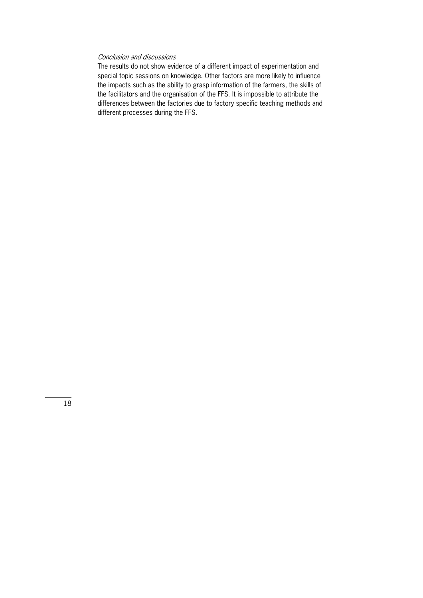# Conclusion and discussions

The results do not show evidence of a different impact of experimentation and special topic sessions on knowledge. Other factors are more likely to influence the impacts such as the ability to grasp information of the farmers, the skills of the facilitators and the organisation of the FFS. It is impossible to attribute the differences between the factories due to factory specific teaching methods and different processes during the FFS.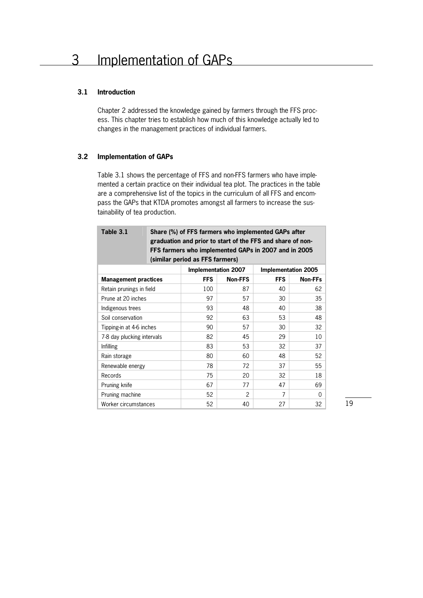# **3.1 Introduction**

Chapter 2 addressed the knowledge gained by farmers through the FFS proc\* ess. This chapter tries to establish how much of this knowledge actually led to changes in the management practices of individual farmers.

# **3.2 Implementation of GAPs**

Table 3.1 shows the percentage of FFS and non-FFS farmers who have implemented a certain practice on their individual tea plot. The practices in the table are a comprehensive list of the topics in the curriculum of all FFS and encompass the GAPs that KTDA promotes amongst all farmers to increase the sustainability of tea production.

| Table 3.1                   | Share (%) of FFS farmers who implemented GAPs after<br>graduation and prior to start of the FFS and share of non-<br>FFS farmers who implemented GAPs in 2007 and in 2005<br>(similar period as FFS farmers) |                            |                |            |                            |  |  |  |  |
|-----------------------------|--------------------------------------------------------------------------------------------------------------------------------------------------------------------------------------------------------------|----------------------------|----------------|------------|----------------------------|--|--|--|--|
|                             |                                                                                                                                                                                                              | <b>Implementation 2007</b> |                |            | <b>Implementation 2005</b> |  |  |  |  |
| <b>Management practices</b> |                                                                                                                                                                                                              | <b>FFS</b>                 | <b>Non-FFS</b> | <b>FFS</b> | <b>Non-FFs</b>             |  |  |  |  |
| Retain prunings in field    |                                                                                                                                                                                                              | 100                        | 87             | 40         | 62                         |  |  |  |  |
| Prune at 20 inches          |                                                                                                                                                                                                              | 97                         | 57             | 30         | 35                         |  |  |  |  |
| Indigenous trees            |                                                                                                                                                                                                              | 93                         | 48             | 40         | 38                         |  |  |  |  |
| Soil conservation           |                                                                                                                                                                                                              | 92                         | 63             | 53         | 48                         |  |  |  |  |
| Tipping-in at 4-6 inches    |                                                                                                                                                                                                              | 90                         | 57             | 30         | 32                         |  |  |  |  |
| 7-8 day plucking intervals  |                                                                                                                                                                                                              | 82                         | 45             | 29         | 10                         |  |  |  |  |
| Infilling                   |                                                                                                                                                                                                              | 83                         | 53             | 32         | 37                         |  |  |  |  |
| Rain storage                |                                                                                                                                                                                                              | 80                         | 60             | 48         | 52                         |  |  |  |  |
| Renewable energy            |                                                                                                                                                                                                              | 78                         | 72             | 37         | 55                         |  |  |  |  |
| Records                     |                                                                                                                                                                                                              | 75                         | 20             | 32         | 18                         |  |  |  |  |
| Pruning knife               |                                                                                                                                                                                                              | 67                         | 77             | 47         | 69                         |  |  |  |  |
| Pruning machine             |                                                                                                                                                                                                              | 52                         | 2              | 7          | $\Omega$                   |  |  |  |  |
| Worker circumstances        |                                                                                                                                                                                                              | 52                         | 40             | 27         | 32                         |  |  |  |  |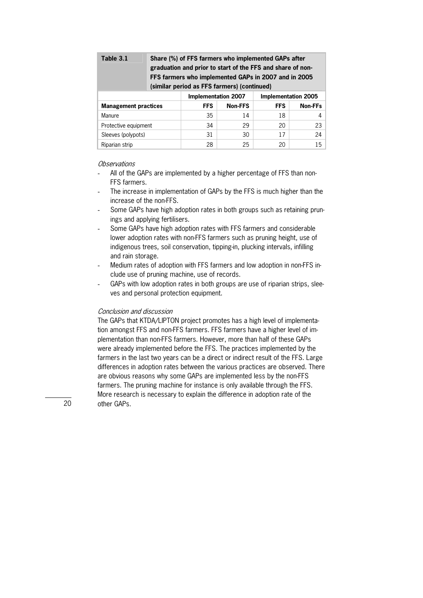| Table 3.1                   | Share (%) of FFS farmers who implemented GAPs after<br>graduation and prior to start of the FFS and share of non-<br>FFS farmers who implemented GAPs in 2007 and in 2005<br>(similar period as FFS farmers) (continued) |            |                |            |                 |  |  |  |
|-----------------------------|--------------------------------------------------------------------------------------------------------------------------------------------------------------------------------------------------------------------------|------------|----------------|------------|-----------------|--|--|--|
|                             | Implementation 2007<br><b>Implementation 2005</b>                                                                                                                                                                        |            |                |            |                 |  |  |  |
| <b>Management practices</b> |                                                                                                                                                                                                                          | <b>FFS</b> | <b>Non-FFS</b> | <b>FFS</b> | Non-FFs         |  |  |  |
| Manure                      |                                                                                                                                                                                                                          | 35         | 14             | 18         | 4 <sup>1</sup>  |  |  |  |
| Protective equipment        |                                                                                                                                                                                                                          | 34         | 29             | 20         | 23              |  |  |  |
| Sleeves (polypots)          |                                                                                                                                                                                                                          | 31         | 30             | 17         | 24              |  |  |  |
| Riparian strip              |                                                                                                                                                                                                                          | 28         | 25             | 20         | 15 <sup>1</sup> |  |  |  |

- All of the GAPs are implemented by a higher percentage of FFS than non-FFS farmers.
- The increase in implementation of GAPs by the FFS is much higher than the increase of the non-FFS.
- Some GAPs have high adoption rates in both groups such as retaining prunings and applying fertilisers.
- Some GAPs have high adoption rates with FFS farmers and considerable lower adoption rates with non-FFS farmers such as pruning height, use of indigenous trees, soil conservation, tipping-in, plucking intervals, infilling and rain storage.
- Medium rates of adoption with FFS farmers and low adoption in non-FFS include use of pruning machine, use of records.
- GAPs with low adoption rates in both groups are use of riparian strips, sleeves and personal protection equipment.

### Conclusion and discussion

The GAPs that KTDA/LIPTON project promotes has a high level of implementation amongst FFS and non-FFS farmers. FFS farmers have a higher level of implementation than non-FFS farmers. However, more than half of these GAPs were already implemented before the FFS. The practices implemented by the farmers in the last two years can be a direct or indirect result of the FFS. Large differences in adoption rates between the various practices are observed. There are obvious reasons why some GAPs are implemented less by the non-FFS farmers. The pruning machine for instance is only available through the FFS. More research is necessary to explain the difference in adoption rate of the other GAPs.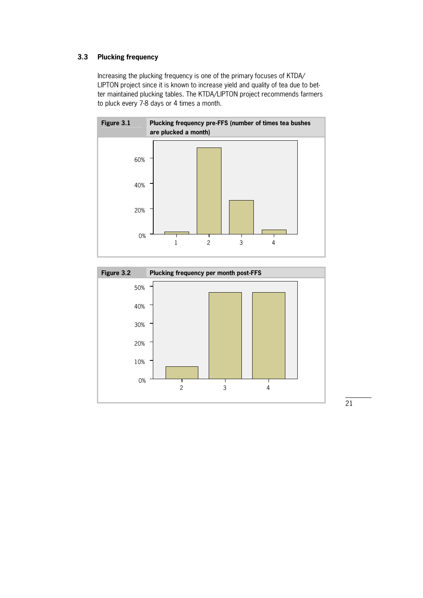# **3.3 Plucking frequency**

Increasing the plucking frequency is one of the primary focuses of KTDA/ LIPTON project since it is known to increase yield and quality of tea due to better maintained plucking tables. The KTDA/LIPTON project recommends farmers to pluck every 7-8 days or 4 times a month.



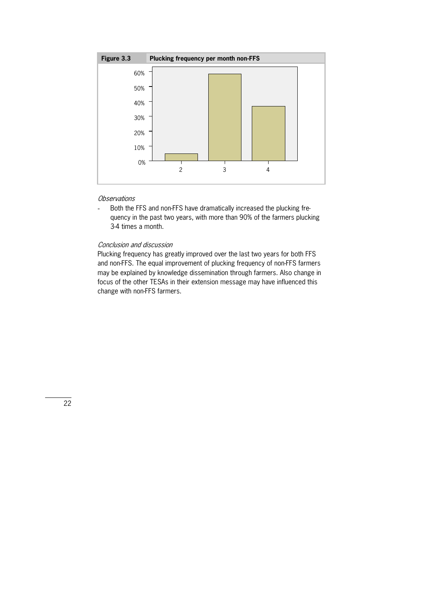

- Both the FFS and non-FFS have dramatically increased the plucking frequency in the past two years, with more than 90% of the farmers plucking 3-4 times a month.

## Conclusion and discussion

Plucking frequency has greatly improved over the last two years for both FFS and non-FFS. The equal improvement of plucking frequency of non-FFS farmers may be explained by knowledge dissemination through farmers. Also change in focus of the other TESAs in their extension message may have influenced this change with non-FFS farmers.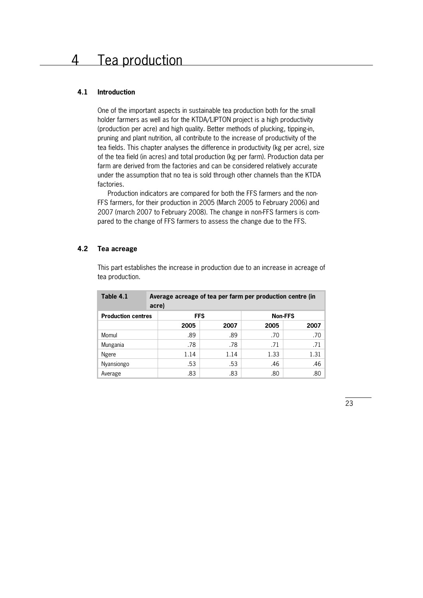## **4.1 Introduction**

One of the important aspects in sustainable tea production both for the small holder farmers as well as for the KTDA/LIPTON project is a high productivity (production per acre) and high quality. Better methods of plucking, tipping-in, pruning and plant nutrition, all contribute to the increase of productivity of the tea fields. This chapter analyses the difference in productivity (kg per acre), size of the tea field (in acres) and total production (kg per farm). Production data per farm are derived from the factories and can be considered relatively accurate under the assumption that no tea is sold through other channels than the KTDA factories.

 Production indicators are compared for both the FFS farmers and the non\* FFS farmers, for their production in 2005 (March 2005 to February 2006) and 2007 (march 2007 to February 2008). The change in non-FFS farmers is compared to the change of FFS farmers to assess the change due to the FFS.

# **4.2 Tea acreage**

This part establishes the increase in production due to an increase in acreage of tea production.

| Table 4.1                 | Average acreage of tea per farm per production centre (in<br>acre) |            |                |                  |  |  |  |  |
|---------------------------|--------------------------------------------------------------------|------------|----------------|------------------|--|--|--|--|
| <b>Production centres</b> |                                                                    | <b>FFS</b> | <b>Non-FFS</b> |                  |  |  |  |  |
|                           | 2005                                                               | 2007       | 2005           | 2007             |  |  |  |  |
| Momul                     | .89                                                                | .89        | .70            | .70              |  |  |  |  |
| Mungania                  | .78                                                                | .78        | .71            | .71              |  |  |  |  |
| Ngere                     | 1.14                                                               | 1.14       | 1.33           | 1.31             |  |  |  |  |
| Nyansiongo                | .53                                                                | .53        | .46            | .46              |  |  |  |  |
| Average                   | .83                                                                | .83        | .80            | .80 <sub>1</sub> |  |  |  |  |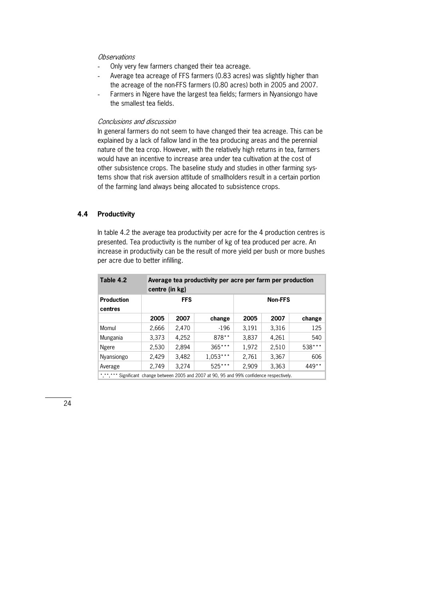- Only very few farmers changed their tea acreage.
- Average tea acreage of FFS farmers (0.83 acres) was slightly higher than the acreage of the non-FFS farmers (0.80 acres) both in 2005 and 2007.
- Farmers in Ngere have the largest tea fields; farmers in Nyansiongo have the smallest tea fields.

# Conclusions and discussion

In general farmers do not seem to have changed their tea acreage. This can be explained by a lack of fallow land in the tea producing areas and the perennial nature of the tea crop. However, with the relatively high returns in tea, farmers would have an incentive to increase area under tea cultivation at the cost of other subsistence crops. The baseline study and studies in other farming systems show that risk aversion attitude of smallholders result in a certain portion of the farming land always being allocated to subsistence crops.

# **4.4 Productivity**

In table 4.2 the average tea productivity per acre for the 4 production centres is presented. Tea productivity is the number of kg of tea produced per acre. An increase in productivity can be the result of more yield per bush or more bushes per acre due to better infilling.

| Table 4.2                    | Average tea productivity per acre per farm per production<br>centre (in kg) |            |            |       |                |         |  |  |
|------------------------------|-----------------------------------------------------------------------------|------------|------------|-------|----------------|---------|--|--|
| <b>Production</b><br>centres |                                                                             | <b>FFS</b> |            |       | <b>Non-FFS</b> |         |  |  |
|                              | 2005                                                                        | 2007       | change     | 2005  | 2007           | change  |  |  |
| Momul                        | 2,666                                                                       | 2,470      | $-196$     | 3,191 | 3,316          | 125     |  |  |
| Mungania                     | 3,373                                                                       | 4,252      | $878**$    | 3,837 | 4,261          | 540     |  |  |
| Ngere                        | 2,530                                                                       | 2,894      | $365***$   | 1,972 | 2,510          | 538***  |  |  |
| Nyansiongo                   | 2,429                                                                       | 3,482      | $1,053***$ | 2,761 | 3,367          | 606     |  |  |
| Average                      | 2,749                                                                       | 3,274      | $525***$   | 2,909 | 3,363          | $449**$ |  |  |

\*,\*\*,\*\*\* Significant change between 2005 and 2007 at 90, 95 and 99% confidence respectively.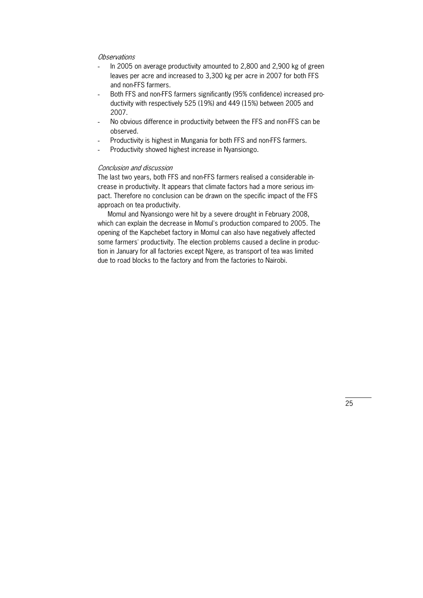- In 2005 on average productivity amounted to 2,800 and 2,900 kg of green leaves per acre and increased to 3,300 kg per acre in 2007 for both FFS and non-FFS farmers.
- Both FFS and non-FFS farmers significantly (95% confidence) increased productivity with respectively 525 (19%) and 449 (15%) between 2005 and 2007.
- No obvious difference in productivity between the FFS and non-FFS can be observed.
- Productivity is highest in Mungania for both FFS and non-FFS farmers.
- Productivity showed highest increase in Nyansiongo.

# Conclusion and discussion

The last two years, both FFS and non-FFS farmers realised a considerable increase in productivity. It appears that climate factors had a more serious impact. Therefore no conclusion can be drawn on the specific impact of the FFS approach on tea productivity.

 Momul and Nyansiongo were hit by a severe drought in February 2008, which can explain the decrease in Momul's production compared to 2005. The opening of the Kapchebet factory in Momul can also have negatively affected some farmers' productivity. The election problems caused a decline in production in January for all factories except Ngere, as transport of tea was limited due to road blocks to the factory and from the factories to Nairobi.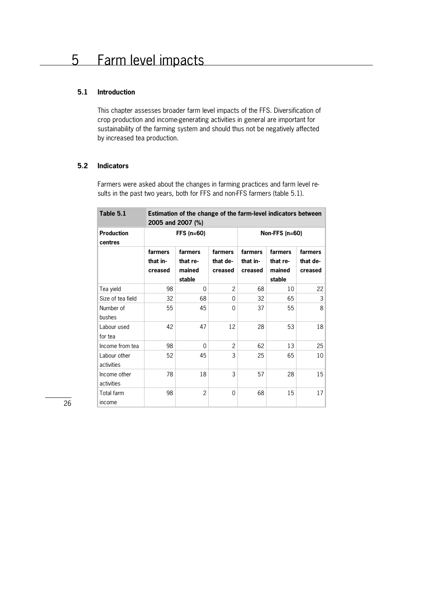# **5.1 Introduction**

This chapter assesses broader farm level impacts of the FFS. Diversification of crop production and income-generating activities in general are important for sustainability of the farming system and should thus not be negatively affected by increased tea production.

# **5.2 Indicators**

Farmers were asked about the changes in farming practices and farm level results in the past two years, both for FFS and non-FFS farmers (table 5.1).

| Table 5.1                    | Estimation of the change of the farm-level indicators between<br>2005 and 2007 (%) |                                         |                                |                                |                                         |                                |  |  |  |
|------------------------------|------------------------------------------------------------------------------------|-----------------------------------------|--------------------------------|--------------------------------|-----------------------------------------|--------------------------------|--|--|--|
| <b>Production</b><br>centres |                                                                                    | $FFS(n=60)$                             |                                |                                | Non-FFS $(n=60)$                        |                                |  |  |  |
|                              | farmers<br>that in-<br>creased                                                     | farmers<br>that re-<br>mained<br>stable | farmers<br>that de-<br>creased | farmers<br>that in-<br>creased | farmers<br>that re-<br>mained<br>stable | farmers<br>that de-<br>creased |  |  |  |
| Tea yield                    | 98                                                                                 | 0                                       | $\overline{2}$                 | 68                             | 10                                      | 22                             |  |  |  |
| Size of tea field            | 32                                                                                 | 68                                      | 0                              | 32                             | 65                                      | 3                              |  |  |  |
| Number of<br>bushes          | 55                                                                                 | 45                                      | $\Omega$                       | 37                             | 55                                      | 8                              |  |  |  |
| Labour used<br>for tea       | 42                                                                                 | 47                                      | 12                             | 28                             | 53                                      | 18                             |  |  |  |
| Income from tea              | 98                                                                                 | 0                                       | $\overline{2}$                 | 62                             | 13                                      | 25                             |  |  |  |
| Labour other<br>activities   | 52                                                                                 | 45                                      | 3                              | 25                             | 65                                      | 10                             |  |  |  |
| Income other<br>activities   | 78                                                                                 | 18                                      | 3                              | 57                             | 28                                      | 15                             |  |  |  |
| Total farm<br>income         | 98                                                                                 | $\overline{2}$                          | $\Omega$                       | 68                             | 15                                      | 17                             |  |  |  |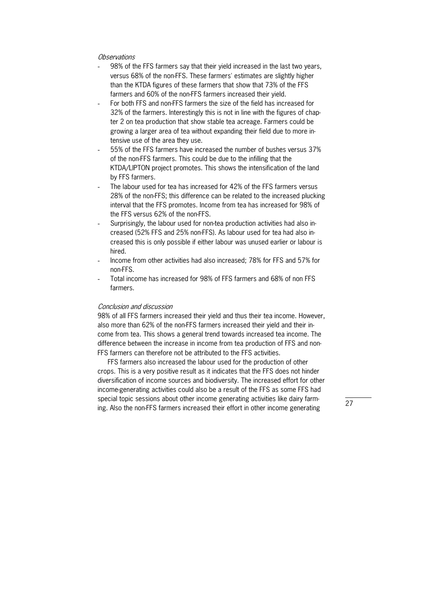- 98% of the FFS farmers say that their yield increased in the last two years, versus 68% of the non-FFS. These farmers' estimates are slightly higher than the KTDA figures of these farmers that show that 73% of the FFS farmers and 60% of the non-FFS farmers increased their yield.
- For both FFS and non-FFS farmers the size of the field has increased for 32% of the farmers. Interestingly this is not in line with the figures of chap\* ter 2 on tea production that show stable tea acreage. Farmers could be growing a larger area of tea without expanding their field due to more intensive use of the area they use.
- 55% of the FFS farmers have increased the number of bushes versus 37% of the non-FFS farmers. This could be due to the infilling that the KTDA/LIPTON project promotes. This shows the intensification of the land by FFS farmers.
- The labour used for tea has increased for 42% of the FFS farmers versus 28% of the non-FFS; this difference can be related to the increased plucking interval that the FFS promotes. Income from tea has increased for 98% of the FFS versus 62% of the non-FFS.
- Surprisingly, the labour used for non-tea production activities had also increased (52% FFS and 25% non-FFS). As labour used for tea had also increased this is only possible if either labour was unused earlier or labour is hired.
- Income from other activities had also increased; 78% for FFS and 57% for non-FFS.
- Total income has increased for 98% of FFS farmers and 68% of non FFS farmers.

# Conclusion and discussion

98% of all FFS farmers increased their yield and thus their tea income. However, also more than 62% of the non-FFS farmers increased their yield and their income from tea. This shows a general trend towards increased tea income. The difference between the increase in income from tea production of FFS and non\* FFS farmers can therefore not be attributed to the FFS activities.

 FFS farmers also increased the labour used for the production of other crops. This is a very positive result as it indicates that the FFS does not hinder diversification of income sources and biodiversity. The increased effort for other income-generating activities could also be a result of the FFS as some FFS had special topic sessions about other income generating activities like dairy farming. Also the non-FFS farmers increased their effort in other income generating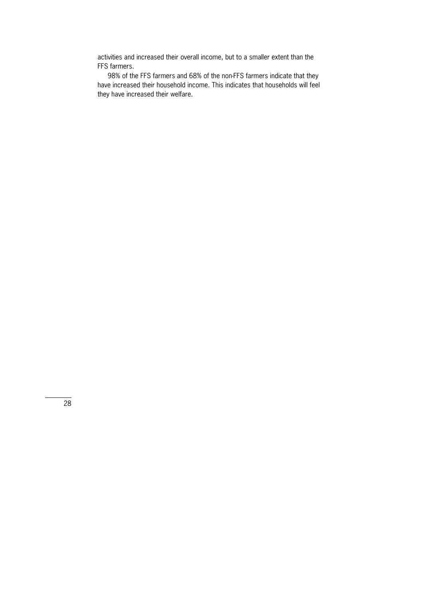activities and increased their overall income, but to a smaller extent than the FFS farmers.

98% of the FFS farmers and 68% of the non-FFS farmers indicate that they have increased their household income. This indicates that households will feel they have increased their welfare.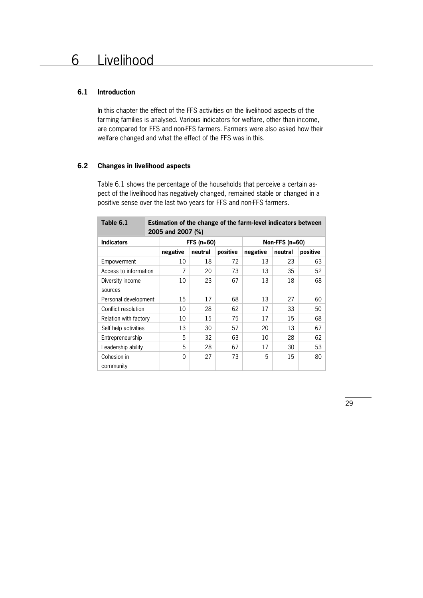# **6.1 Introduction**

In this chapter the effect of the FFS activities on the livelihood aspects of the farming families is analysed. Various indicators for welfare, other than income, are compared for FFS and non-FFS farmers. Farmers were also asked how their welfare changed and what the effect of the FFS was in this.

# **6.2 Changes in livelihood aspects**

Table 6.1 shows the percentage of the households that perceive a certain aspect of the livelihood has negatively changed, remained stable or changed in a positive sense over the last two years for FFS and non-FFS farmers.

| Table 6.1             |  | Estimation of the change of the farm-level indicators between<br>2005 and 2007 (%) |            |          |          |                  |          |  |  |
|-----------------------|--|------------------------------------------------------------------------------------|------------|----------|----------|------------------|----------|--|--|
| <b>Indicators</b>     |  |                                                                                    | FFS (n=60) |          |          | Non-FFS $(n=60)$ |          |  |  |
|                       |  | negative                                                                           | neutral    | positive | negative | neutral          | positive |  |  |
| Empowerment           |  | 10                                                                                 | 18         | 72       | 13       | 23               | 63       |  |  |
| Access to information |  | 7                                                                                  | 20         | 73       | 13       | 35               | 52       |  |  |
| Diversity income      |  | 10                                                                                 | 23         | 67       | 13       | 18               | 68       |  |  |
| sources               |  |                                                                                    |            |          |          |                  |          |  |  |
| Personal development  |  | 15                                                                                 | 17         | 68       | 13       | 27               | 60       |  |  |
| Conflict resolution   |  | 10                                                                                 | 28         | 62       | 17       | 33               | 50       |  |  |
| Relation with factory |  | 10                                                                                 | 15         | 75       | 17       | 15               | 68       |  |  |
| Self help activities  |  | 13                                                                                 | 30         | 57       | 20       | 13               | 67       |  |  |
| Entrepreneurship      |  | 5                                                                                  | 32         | 63       | 10       | 28               | 62       |  |  |
| Leadership ability    |  | 5                                                                                  | 28         | 67       | 17       | 30               | 53       |  |  |
| Cohesion in           |  | $\Omega$                                                                           | 27         | 73       | 5        | 15               | 80       |  |  |
| community             |  |                                                                                    |            |          |          |                  |          |  |  |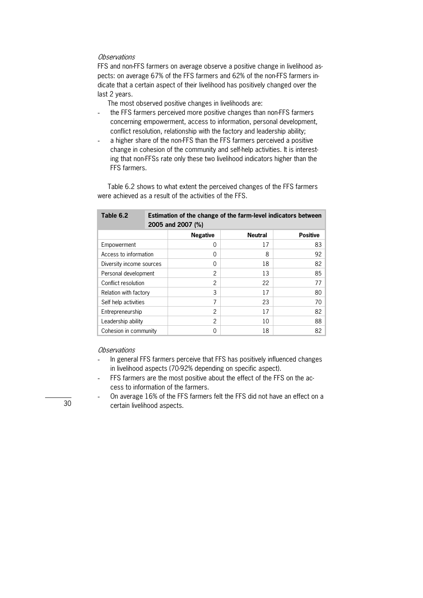FFS and non-FFS farmers on average observe a positive change in livelihood aspects: on average 67% of the FFS farmers and 62% of the non-FFS farmers indicate that a certain aspect of their livelihood has positively changed over the last 2 years.

The most observed positive changes in livelihoods are:

- the FFS farmers perceived more positive changes than non-FFS farmers concerning empowerment, access to information, personal development, conflict resolution, relationship with the factory and leadership ability;
- a higher share of the non-FFS than the FFS farmers perceived a positive change in cohesion of the community and self-help activities. It is interesting that non-FFSs rate only these two livelihood indicators higher than the FFS farmers.

 Table 6.2 shows to what extent the perceived changes of the FFS farmers were achieved as a result of the activities of the FFS.

| Table 6.2                |  | Estimation of the change of the farm-level indicators between<br>2005 and 2007 (%) |                |                 |  |  |
|--------------------------|--|------------------------------------------------------------------------------------|----------------|-----------------|--|--|
|                          |  | <b>Negative</b>                                                                    | <b>Neutral</b> | <b>Positive</b> |  |  |
| Empowerment              |  | 0                                                                                  | 17             | 83              |  |  |
| Access to information    |  | 0                                                                                  | 8              | 92              |  |  |
| Diversity income sources |  | 0                                                                                  | 18             | 82              |  |  |
| Personal development     |  | $\overline{2}$                                                                     | 13             | 85              |  |  |
| Conflict resolution      |  | 2                                                                                  | 22             | 77              |  |  |
| Relation with factory    |  | 3                                                                                  | 17             | 80              |  |  |
| Self help activities     |  | 7                                                                                  | 23             | 70              |  |  |
| Entrepreneurship         |  | 2                                                                                  | 17             | 82              |  |  |
| Leadership ability       |  | $\overline{2}$                                                                     | 10             | 88              |  |  |
| Cohesion in community    |  | 0                                                                                  | 18             | 82              |  |  |

#### **Observations**

- In general FFS farmers perceive that FFS has positively influenced changes in livelihood aspects (70-92% depending on specific aspect).
- FFS farmers are the most positive about the effect of the FFS on the access to information of the farmers.
- On average 16% of the FFS farmers felt the FFS did not have an effect on a certain livelihood aspects.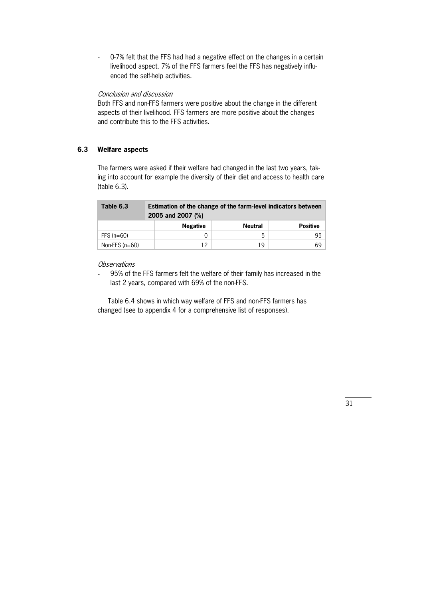- 0-7% felt that the FFS had had a negative effect on the changes in a certain livelihood aspect. 7% of the FFS farmers feel the FFS has negatively influ\* enced the self-help activities.

# Conclusion and discussion

Both FFS and non-FFS farmers were positive about the change in the different aspects of their livelihood. FFS farmers are more positive about the changes and contribute this to the FFS activities.

#### **6.3 Welfare aspects**

The farmers were asked if their welfare had changed in the last two years, taking into account for example the diversity of their diet and access to health care (table 6.3).

| Table 6.3        | Estimation of the change of the farm-level indicators between<br>2005 and 2007 (%) |         |                 |  |
|------------------|------------------------------------------------------------------------------------|---------|-----------------|--|
|                  | <b>Negative</b>                                                                    | Neutral | <b>Positive</b> |  |
| FFS $(n=60)$     |                                                                                    | 5       | 95              |  |
| Non-FFS $(n=60)$ | 12                                                                                 | 19      | 69              |  |

## **Observations**

95% of the FFS farmers felt the welfare of their family has increased in the last 2 years, compared with 69% of the non-FFS.

Table 6.4 shows in which way welfare of FFS and non-FFS farmers has changed (see to appendix 4 for a comprehensive list of responses).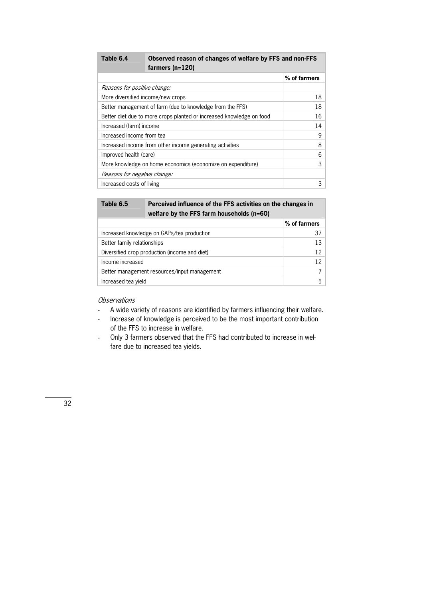| farmers $(n=120)$                                                    |              |
|----------------------------------------------------------------------|--------------|
|                                                                      | % of farmers |
| Reasons for positive change:                                         |              |
| More diversified income/new crops                                    | 18           |
| Better management of farm (due to knowledge from the FFS)            | 18           |
| Better diet due to more crops planted or increased knowledge on food | 16           |
| Increased (farm) income                                              | 14           |
| Increased income from tea                                            | 9            |
| Increased income from other income generating activities             | 8            |
| Improved health (care)                                               | 6            |
| More knowledge on home economics (economize on expenditure)          | 3            |
| Reasons for negative change:                                         |              |
| Increased costs of living                                            | 3            |

# Table 6.4 Observed reason of changes of welfare by FFS and non-FFS

**Table 6.5 Perceived influence of the FFS activities on the changes in welfare by the FFS farm households (n=60)** 

|                                               | % of farmers |
|-----------------------------------------------|--------------|
| Increased knowledge on GAPs/tea production    | 37           |
| Better family relationships                   | 13           |
| Diversified crop production (income and diet) | 12           |
| Income increased                              | 12           |
| Better management resources/input management  |              |
| Increased tea yield                           |              |
|                                               |              |

- A wide variety of reasons are identified by farmers influencing their welfare.
- Increase of knowledge is perceived to be the most important contribution of the FFS to increase in welfare.
- Only 3 farmers observed that the FFS had contributed to increase in welfare due to increased tea yields.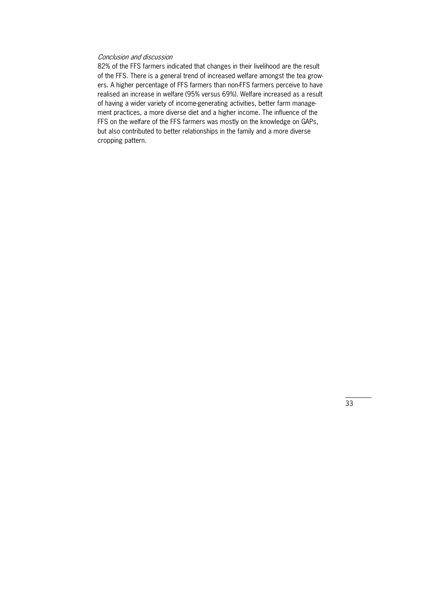## Conclusion and discussion

82% of the FFS farmers indicated that changes in their livelihood are the result of the FFS. There is a general trend of increased welfare amongst the tea growers. A higher percentage of FFS farmers than non-FFS farmers perceive to have realised an increase in welfare (95% versus 69%). Welfare increased as a result of having a wider variety of income-generating activities, better farm management practices, a more diverse diet and a higher income. The influence of the FFS on the welfare of the FFS farmers was mostly on the knowledge on GAPs, but also contributed to better relationships in the family and a more diverse cropping pattern.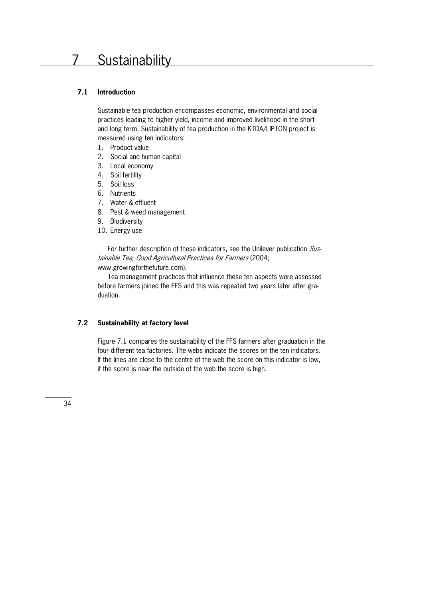# **7.1 Introduction**

Sustainable tea production encompasses economic, environmental and social practices leading to higher yield, income and improved livelihood in the short and long term. Sustainability of tea production in the KTDA/LIPTON project is measured using ten indicators:

- 1. Product value
- 2. Social and human capital
- 3. Local economy
- 4. Soil fertility
- 5. Soil loss
- 6. Nutrients
- 7. Water & effluent
- 8. Pest & weed management
- 9. Biodiversity
- 10. Energy use

For further description of these indicators, see the Unilever publication  $Sus$ tainable Tea; Good Agricultural Practices for Farmers (2004; www.growingforthefuture.com).

 Tea management practices that influence these ten aspects were assessed before farmers joined the FFS and this was repeated two years later after graduation.

# **7.2 Sustainability at factory level**

Figure 7.1 compares the sustainability of the FFS farmers after graduation in the four different tea factories. The webs indicate the scores on the ten indicators. If the lines are close to the centre of the web the score on this indicator is low, if the score is near the outside of the web the score is high.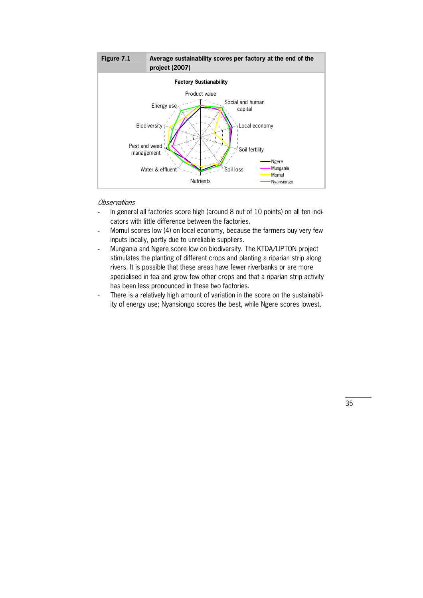

- In general all factories score high (around 8 out of 10 points) on all ten indicators with little difference between the factories.
- Momul scores low (4) on local economy, because the farmers buy very few inputs locally, partly due to unreliable suppliers.
- Mungania and Ngere score low on biodiversity. The KTDA/LIPTON project stimulates the planting of different crops and planting a riparian strip along rivers. It is possible that these areas have fewer riverbanks or are more specialised in tea and grow few other crops and that a riparian strip activity has been less pronounced in these two factories.
- There is a relatively high amount of variation in the score on the sustainability of energy use; Nyansiongo scores the best, while Ngere scores lowest.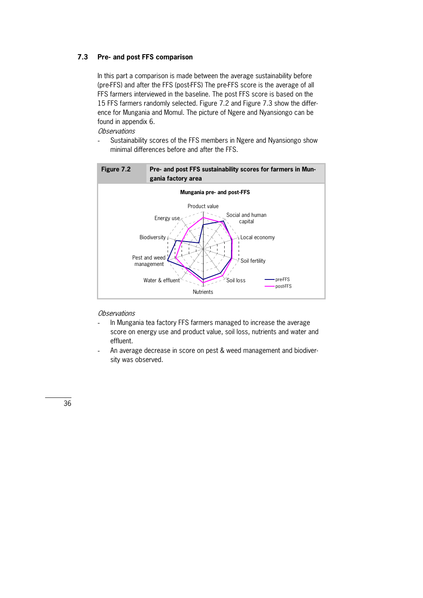## **7.3 Pre- and post FFS comparison**

In this part a comparison is made between the average sustainability before (pre-FFS) and after the FFS (post-FFS) The pre-FFS score is the average of all FFS farmers interviewed in the baseline. The post FFS score is based on the 15 FFS farmers randomly selected. Figure 7.2 and Figure 7.3 show the differ\* ence for Mungania and Momul. The picture of Ngere and Nyansiongo can be found in appendix 6.

**Observations** 

Sustainability scores of the FFS members in Ngere and Nyansiongo show minimal differences before and after the FFS.



- In Mungania tea factory FFS farmers managed to increase the average score on energy use and product value, soil loss, nutrients and water and effluent.
- An average decrease in score on pest & weed management and biodiversity was observed.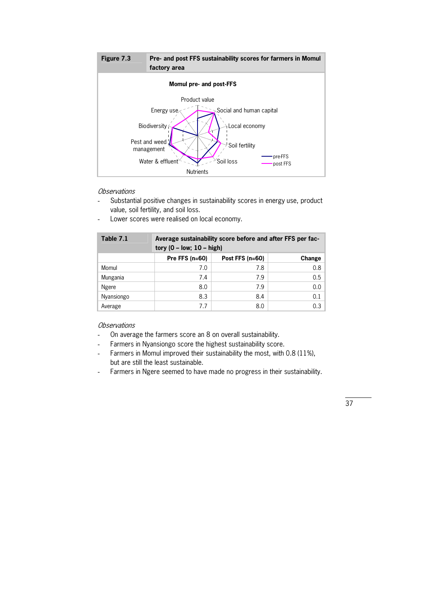

- Substantial positive changes in sustainability scores in energy use, product value, soil fertility, and soil loss.
- Lower scores were realised on local economy.

| Table 7.1  | Average sustainability score before and after FFS per fac-<br>tory ( $0$ – low; $10$ – high) |                   |        |  |
|------------|----------------------------------------------------------------------------------------------|-------------------|--------|--|
|            | Pre FFS $(n=60)$                                                                             | Post FFS $(n=60)$ | Change |  |
| Momul      | 7.0                                                                                          | 7.8               | 0.8    |  |
| Mungania   | 7.4                                                                                          | 7.9               | 0.5    |  |
| Ngere      | 8.0                                                                                          | 7.9               | 0.0    |  |
| Nyansiongo | 8.3                                                                                          | 8.4               | 0.1    |  |
| Average    | 7.7                                                                                          | 8.0               | 0.3    |  |

- On average the farmers score an 8 on overall sustainability.
- Farmers in Nyansiongo score the highest sustainability score.
- Farmers in Momul improved their sustainability the most, with 0.8 (11%), but are still the least sustainable.
- Farmers in Ngere seemed to have made no progress in their sustainability.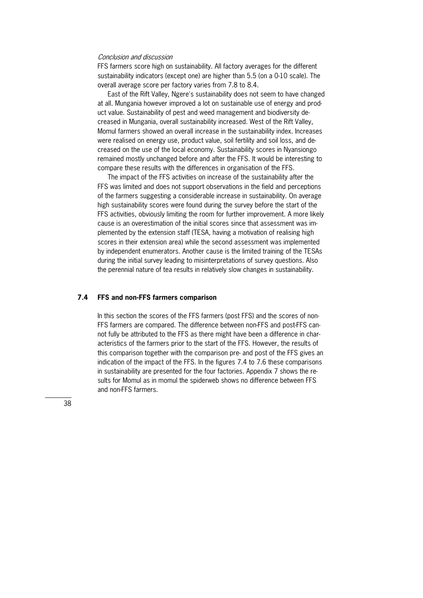#### Conclusion and discussion

FFS farmers score high on sustainability. All factory averages for the different sustainability indicators (except one) are higher than 5.5 (on a 0-10 scale). The overall average score per factory varies from 7.8 to 8.4.

 East of the Rift Valley, Ngere's sustainability does not seem to have changed at all. Mungania however improved a lot on sustainable use of energy and product value. Sustainability of pest and weed management and biodiversity decreased in Mungania, overall sustainability increased. West of the Rift Valley, Momul farmers showed an overall increase in the sustainability index. Increases were realised on energy use, product value, soil fertility and soil loss, and decreased on the use of the local economy. Sustainability scores in Nyansiongo remained mostly unchanged before and after the FFS. It would be interesting to compare these results with the differences in organisation of the FFS.

 The impact of the FFS activities on increase of the sustainability after the FFS was limited and does not support observations in the field and perceptions of the farmers suggesting a considerable increase in sustainability. On average high sustainability scores were found during the survey before the start of the FFS activities, obviously limiting the room for further improvement. A more likely cause is an overestimation of the initial scores since that assessment was im\* plemented by the extension staff (TESA, having a motivation of realising high scores in their extension area) while the second assessment was implemented by independent enumerators. Another cause is the limited training of the TESAs during the initial survey leading to misinterpretations of survey questions. Also the perennial nature of tea results in relatively slow changes in sustainability.

### **7.4 FFS and non-FFS farmers comparison**

In this section the scores of the FFS farmers (post FFS) and the scores of non-FFS farmers are compared. The difference between non-FFS and post-FFS cannot fully be attributed to the FFS as there might have been a difference in char\* acteristics of the farmers prior to the start of the FFS. However, the results of this comparison together with the comparison pre- and post of the FFS gives an indication of the impact of the FFS. In the figures 7.4 to 7.6 these comparisons in sustainability are presented for the four factories. Appendix 7 shows the results for Momul as in momul the spiderweb shows no difference between FFS and non-FFS farmers.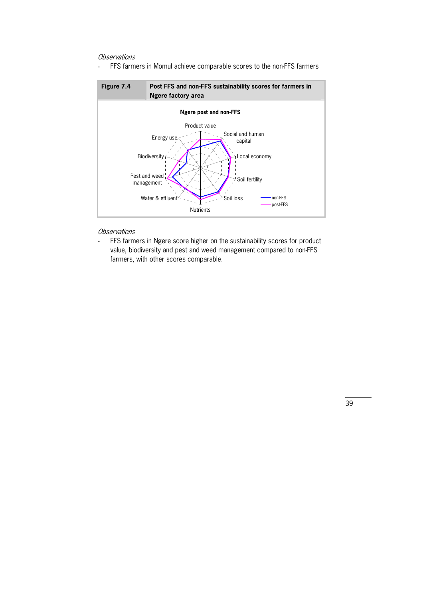- FFS farmers in Momul achieve comparable scores to the non-FFS farmers



### **Observations**

- FFS farmers in Ngere score higher on the sustainability scores for product value, biodiversity and pest and weed management compared to non-FFS farmers, with other scores comparable.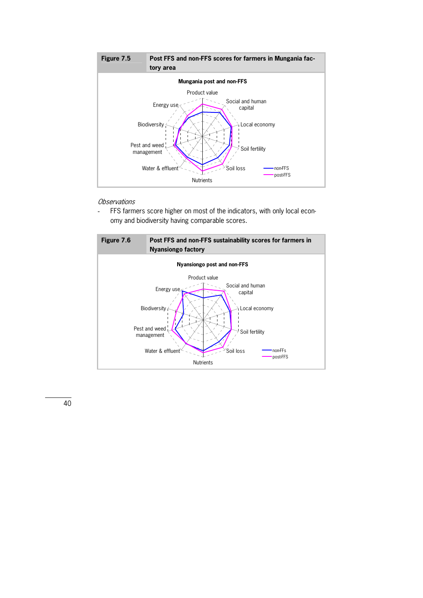

- FFS farmers score higher on most of the indicators, with only local economy and biodiversity having comparable scores.

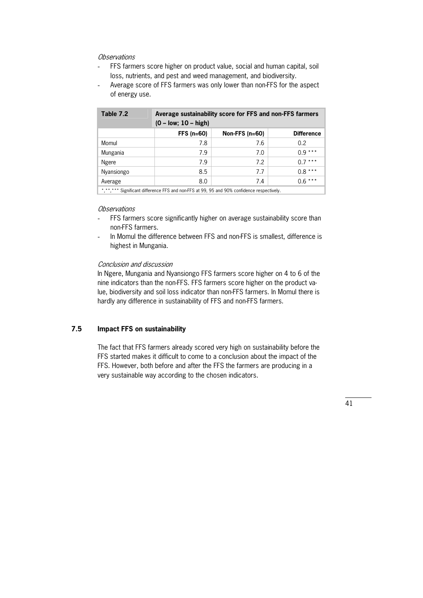- FFS farmers score higher on product value, social and human capital, soil loss, nutrients, and pest and weed management, and biodiversity.
- Average score of FFS farmers was only lower than non-FFS for the aspect of energy use.

| Table 7.2  | Average sustainability score for FFS and non-FFS farmers<br>$(0 - low; 10 - high)$ |                  |               |  |
|------------|------------------------------------------------------------------------------------|------------------|---------------|--|
|            | $FFS(n=60)$                                                                        | Non-FFS $(n=60)$ | Difference    |  |
| Momul      | 7.8                                                                                | 7.6              | $0.2^{\circ}$ |  |
| Mungania   | 7.9                                                                                | 7.0              | $0.9***$      |  |
| Ngere      | 7.9                                                                                | 7.2              | $0.7***$      |  |
| Nyansiongo | 8.5                                                                                | 7.7              | $0.8***$      |  |
| Average    | 8.0                                                                                | 7.4              | $0.6***$      |  |
|            |                                                                                    |                  |               |  |

\*,\*\*,\*\*\* Significant difference FFS and non-FFS at 99, 95 and 90% confidence respectively.

#### **Observations**

- FFS farmers score significantly higher on average sustainability score than non-FFS farmers.
- In Momul the difference between FFS and non-FFS is smallest, difference is highest in Mungania.

#### Conclusion and discussion

In Ngere, Mungania and Nyansiongo FFS farmers score higher on 4 to 6 of the nine indicators than the non-FFS. FFS farmers score higher on the product value, biodiversity and soil loss indicator than non-FFS farmers. In Momul there is hardly any difference in sustainability of FFS and non-FFS farmers.

#### **7.5 Impact FFS on sustainability**

The fact that FFS farmers already scored very high on sustainability before the FFS started makes it difficult to come to a conclusion about the impact of the FFS. However, both before and after the FFS the farmers are producing in a very sustainable way according to the chosen indicators.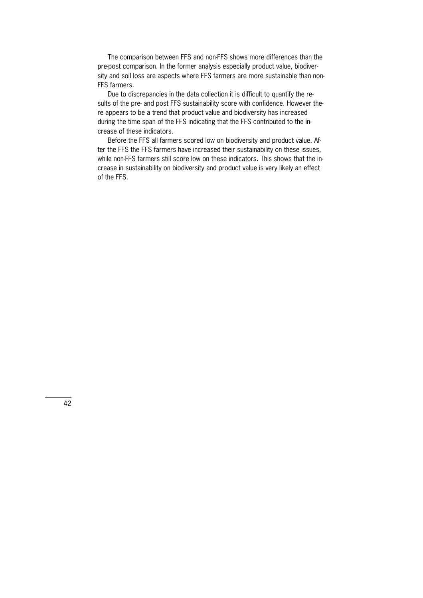The comparison between FFS and non-FFS shows more differences than the pre-post comparison. In the former analysis especially product value, biodiversity and soil loss are aspects where FFS farmers are more sustainable than non-FFS farmers.

Due to discrepancies in the data collection it is difficult to quantify the results of the pre- and post FFS sustainability score with confidence. However there appears to be a trend that product value and biodiversity has increased during the time span of the FFS indicating that the FFS contributed to the increase of these indicators.

Before the FFS all farmers scored low on biodiversity and product value. After the FFS the FFS farmers have increased their sustainability on these issues, while non-FFS farmers still score low on these indicators. This shows that the increase in sustainability on biodiversity and product value is very likely an effect of the FFS.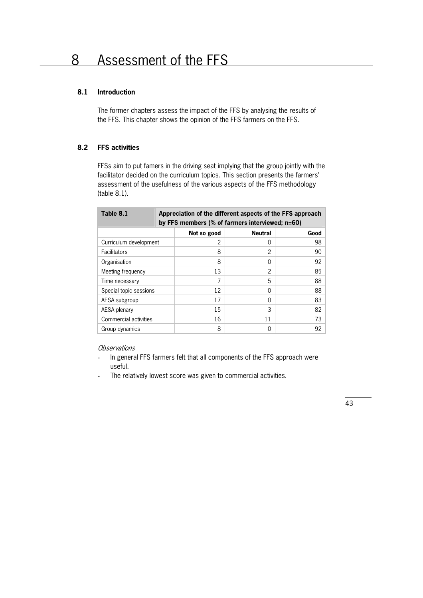# **8.1 Introduction**

The former chapters assess the impact of the FFS by analysing the results of the FFS. This chapter shows the opinion of the FFS farmers on the FFS.

# **8.2 FFS activities**

FFSs aim to put famers in the driving seat implying that the group jointly with the facilitator decided on the curriculum topics. This section presents the farmers' assessment of the usefulness of the various aspects of the FFS methodology (table 8.1).

| Table 8.1              | Appreciation of the different aspects of the FFS approach<br>by FFS members (% of farmers interviewed; n=60) |             |                |      |  |
|------------------------|--------------------------------------------------------------------------------------------------------------|-------------|----------------|------|--|
|                        |                                                                                                              | Not so good | <b>Neutral</b> | Good |  |
| Curriculum development |                                                                                                              | 2           | 0              | 98   |  |
| Facilitators           |                                                                                                              | 8           | 2              | 90   |  |
| Organisation           |                                                                                                              | 8           | 0              | 92   |  |
| Meeting frequency      |                                                                                                              | 13          | 2              | 85   |  |
| Time necessary         |                                                                                                              | 7           | 5              | 88   |  |
| Special topic sessions |                                                                                                              | 12          | 0              | 88   |  |
| AESA subgroup          |                                                                                                              | 17          | $\Omega$       | 83   |  |
| AESA plenary           |                                                                                                              | 15          | 3              | 82   |  |
| Commercial activities  |                                                                                                              | 16          | 11             | 73   |  |
| Group dynamics         |                                                                                                              | 8           | 0              | 92   |  |

- In general FFS farmers felt that all components of the FFS approach were useful.
- The relatively lowest score was given to commercial activities.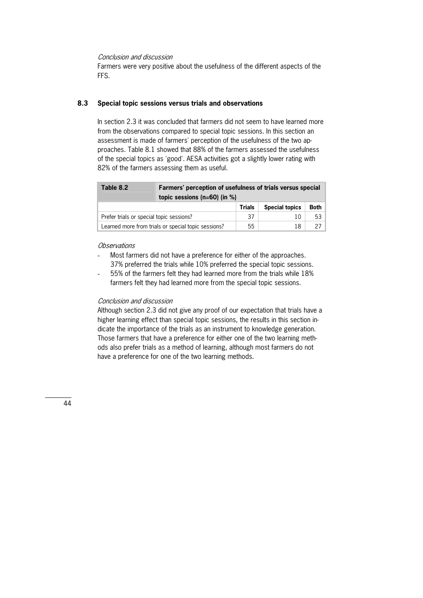### Conclusion and discussion

Farmers were very positive about the usefulness of the different aspects of the FFS.

### **8.3 Special topic sessions versus trials and observations**

In section 2.3 it was concluded that farmers did not seem to have learned more from the observations compared to special topic sessions. In this section an assessment is made of farmers' perception of the usefulness of the two approaches. Table 8.1 showed that 88% of the farmers assessed the usefulness of the special topics as 'good'. AESA activities got a slightly lower rating with 82% of the farmers assessing them as useful.

| Table 8.2                                | Farmers' perception of usefulness of trials versus special<br>topic sessions ( $n=60$ ) (in %) |               |                       |             |  |
|------------------------------------------|------------------------------------------------------------------------------------------------|---------------|-----------------------|-------------|--|
|                                          |                                                                                                | <b>Trials</b> | <b>Special topics</b> | <b>Both</b> |  |
| Prefer trials or special topic sessions? |                                                                                                | 37            | 10                    | 53          |  |
|                                          | Learned more from trials or special topic sessions?                                            | 55            | 18                    |             |  |

# Observations

- Most farmers did not have a preference for either of the approaches. 37% preferred the trials while 10% preferred the special topic sessions.
- 55% of the farmers felt they had learned more from the trials while 18% farmers felt they had learned more from the special topic sessions.

#### Conclusion and discussion

Although section 2.3 did not give any proof of our expectation that trials have a higher learning effect than special topic sessions, the results in this section indicate the importance of the trials as an instrument to knowledge generation. Those farmers that have a preference for either one of the two learning methods also prefer trials as a method of learning, although most farmers do not have a preference for one of the two learning methods.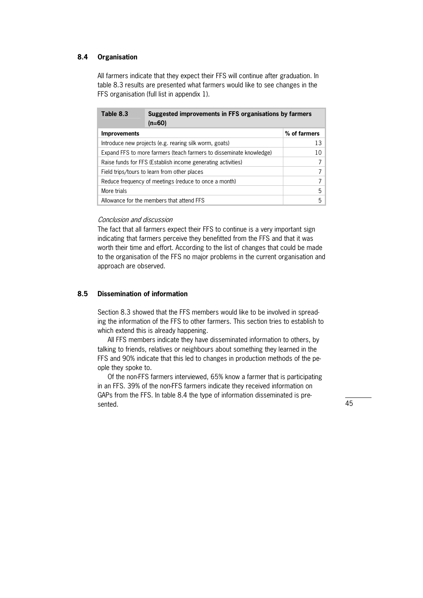## **8.4 Organisation**

All farmers indicate that they expect their FFS will continue after graduation. In table 8.3 results are presented what farmers would like to see changes in the FFS organisation (full list in appendix 1).

| Table 8.3                                                           | Suggested improvements in FFS organisations by farmers<br>$(n=60)$ |              |
|---------------------------------------------------------------------|--------------------------------------------------------------------|--------------|
| <b>Improvements</b>                                                 |                                                                    | % of farmers |
|                                                                     | Introduce new projects (e.g. rearing silk worm, goats)             | 13           |
| Expand FFS to more farmers (teach farmers to disseminate knowledge) | 10                                                                 |              |
| Raise funds for FFS (Establish income generating activities)        |                                                                    |              |
| Field trips/tours to learn from other places                        |                                                                    |              |
| Reduce frequency of meetings (reduce to once a month)               |                                                                    |              |
| More trials                                                         |                                                                    | 5            |
|                                                                     | Allowance for the members that attend FFS                          | 5            |

#### Conclusion and discussion

The fact that all farmers expect their FFS to continue is a very important sign indicating that farmers perceive they benefitted from the FFS and that it was worth their time and effort. According to the list of changes that could be made to the organisation of the FFS no major problems in the current organisation and approach are observed.

# **8.5 Dissemination of information**

Section 8.3 showed that the FFS members would like to be involved in spreading the information of the FFS to other farmers. This section tries to establish to which extend this is already happening.

 All FFS members indicate they have disseminated information to others, by talking to friends, relatives or neighbours about something they learned in the FFS and 90% indicate that this led to changes in production methods of the people they spoke to.

Of the non-FFS farmers interviewed, 65% know a farmer that is participating in an FFS. 39% of the non-FFS farmers indicate they received information on GAPs from the FFS. In table 8.4 the type of information disseminated is presented.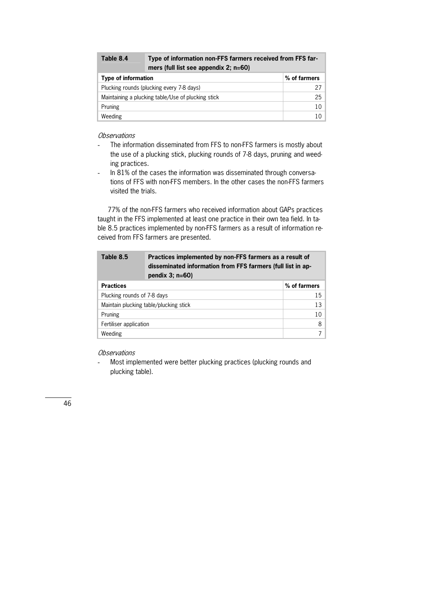| Table 8.4                  | Type of information non-FFS farmers received from FFS far-<br>mers (full list see appendix 2; n=60) |              |  |
|----------------------------|-----------------------------------------------------------------------------------------------------|--------------|--|
| <b>Type of information</b> |                                                                                                     | % of farmers |  |
|                            | Plucking rounds (plucking every 7-8 days)                                                           | 27           |  |
|                            | Maintaining a plucking table/Use of plucking stick                                                  | 25           |  |
| Pruning                    |                                                                                                     | 10           |  |
| Weeding                    |                                                                                                     | 10           |  |

- The information disseminated from FFS to non-FFS farmers is mostly about the use of a plucking stick, plucking rounds of 7-8 days, pruning and weeding practices.
- In 81% of the cases the information was disseminated through conversations of FFS with non-FFS members. In the other cases the non-FFS farmers visited the trials.

77% of the non-FFS farmers who received information about GAPs practices taught in the FFS implemented at least one practice in their own tea field. In table 8.5 practices implemented by non-FFS farmers as a result of information received from FFS farmers are presented.

| Table 8.5                              | Practices implemented by non-FFS farmers as a result of<br>disseminated information from FFS farmers (full list in ap-<br>pendix $3$ ; $n=60$ ) |              |
|----------------------------------------|-------------------------------------------------------------------------------------------------------------------------------------------------|--------------|
| <b>Practices</b>                       |                                                                                                                                                 | % of farmers |
| Plucking rounds of 7-8 days            |                                                                                                                                                 | 15           |
| Maintain plucking table/plucking stick |                                                                                                                                                 | 13           |
| Pruning                                |                                                                                                                                                 | 10           |
| Fertiliser application                 |                                                                                                                                                 | 8            |
| Weeding                                |                                                                                                                                                 |              |

# **Observations**

- Most implemented were better plucking practices (plucking rounds and plucking table).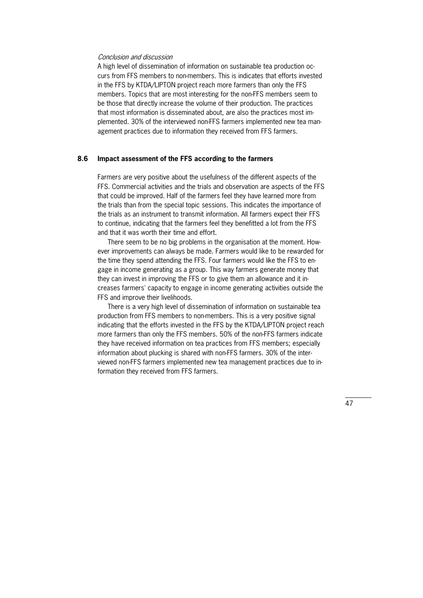#### Conclusion and discussion

A high level of dissemination of information on sustainable tea production occurs from FFS members to non-members. This is indicates that efforts invested in the FFS by KTDA/LIPTON project reach more farmers than only the FFS members. Topics that are most interesting for the non-FFS members seem to be those that directly increase the volume of their production. The practices that most information is disseminated about, are also the practices most implemented. 30% of the interviewed non-FFS farmers implemented new tea management practices due to information they received from FFS farmers.

#### **8.6 Impact assessment of the FFS according to the farmers**

Farmers are very positive about the usefulness of the different aspects of the FFS. Commercial activities and the trials and observation are aspects of the FFS that could be improved. Half of the farmers feel they have learned more from the trials than from the special topic sessions. This indicates the importance of the trials as an instrument to transmit information. All farmers expect their FFS to continue, indicating that the farmers feel they benefitted a lot from the FFS and that it was worth their time and effort.

There seem to be no big problems in the organisation at the moment. However improvements can always be made. Farmers would like to be rewarded for the time they spend attending the FFS. Four farmers would like the FFS to en\* gage in income generating as a group. This way farmers generate money that they can invest in improving the FFS or to give them an allowance and it increases farmers' capacity to engage in income generating activities outside the FFS and improve their livelihoods.

 There is a very high level of dissemination of information on sustainable tea production from FFS members to non-members. This is a very positive signal indicating that the efforts invested in the FFS by the KTDA/LIPTON project reach more farmers than only the FFS members. 50% of the non-FFS farmers indicate they have received information on tea practices from FFS members; especially information about plucking is shared with non-FFS farmers. 30% of the interviewed non-FFS farmers implemented new tea management practices due to information they received from FFS farmers.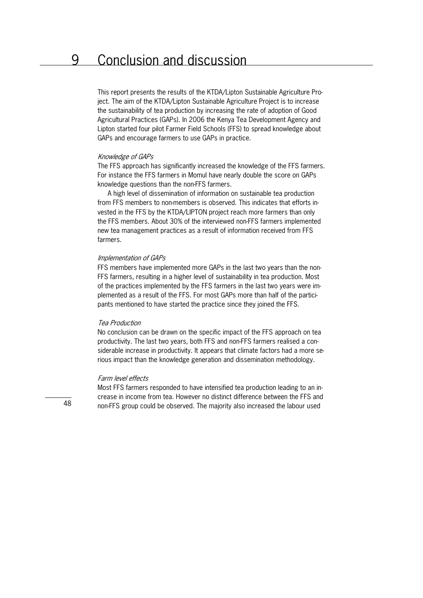This report presents the results of the KTDA/Lipton Sustainable Agriculture Pro\* ject. The aim of the KTDA/Lipton Sustainable Agriculture Project is to increase the sustainability of tea production by increasing the rate of adoption of Good Agricultural Practices (GAPs). In 2006 the Kenya Tea Development Agency and Lipton started four pilot Farmer Field Schools (FFS) to spread knowledge about GAPs and encourage farmers to use GAPs in practice.

#### Knowledge of GAPs

The FFS approach has significantly increased the knowledge of the FFS farmers. For instance the FFS farmers in Momul have nearly double the score on GAPs knowledge questions than the non-FFS farmers.

 A high level of dissemination of information on sustainable tea production from FFS members to non-members is observed. This indicates that efforts invested in the FFS by the KTDA/LIPTON project reach more farmers than only the FFS members. About 30% of the interviewed non-FFS farmers implemented new tea management practices as a result of information received from FFS farmers.

#### Implementation of GAPs

FFS members have implemented more GAPs in the last two years than the non-FFS farmers, resulting in a higher level of sustainability in tea production. Most of the practices implemented by the FFS farmers in the last two years were im\* plemented as a result of the FFS. For most GAPs more than half of the participants mentioned to have started the practice since they joined the FFS.

#### Tea Production

No conclusion can be drawn on the specific impact of the FFS approach on tea productivity. The last two years, both FFS and non-FFS farmers realised a considerable increase in productivity. It appears that climate factors had a more serious impact than the knowledge generation and dissemination methodology.

#### Farm level effects

Most FFS farmers responded to have intensified tea production leading to an increase in income from tea. However no distinct difference between the FFS and non-FFS group could be observed. The majority also increased the labour used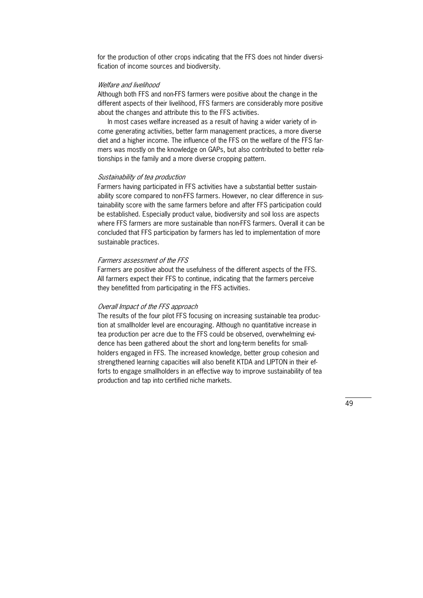for the production of other crops indicating that the FFS does not hinder diversification of income sources and biodiversity.

#### Welfare and livelihood

Although both FFS and non-FFS farmers were positive about the change in the different aspects of their livelihood, FFS farmers are considerably more positive about the changes and attribute this to the FFS activities.

In most cases welfare increased as a result of having a wider variety of income generating activities, better farm management practices, a more diverse diet and a higher income. The influence of the FFS on the welfare of the FFS farmers was mostly on the knowledge on GAPs, but also contributed to better rela\* tionships in the family and a more diverse cropping pattern.

#### Sustainability of tea production

Farmers having participated in FFS activities have a substantial better sustain\* ability score compared to non-FFS farmers. However, no clear difference in sustainability score with the same farmers before and after FFS participation could be established. Especially product value, biodiversity and soil loss are aspects where FFS farmers are more sustainable than non-FFS farmers. Overall it can be concluded that FFS participation by farmers has led to implementation of more sustainable practices.

#### Farmers assessment of the FFS

Farmers are positive about the usefulness of the different aspects of the FFS. All farmers expect their FFS to continue, indicating that the farmers perceive they benefitted from participating in the FFS activities.

#### Overall Impact of the FFS approach

The results of the four pilot FFS focusing on increasing sustainable tea production at smallholder level are encouraging. Although no quantitative increase in tea production per acre due to the FFS could be observed, overwhelming evidence has been gathered about the short and long-term benefits for smallholders engaged in FFS. The increased knowledge, better group cohesion and strengthened learning capacities will also benefit KTDA and LIPTON in their efforts to engage smallholders in an effective way to improve sustainability of tea production and tap into certified niche markets.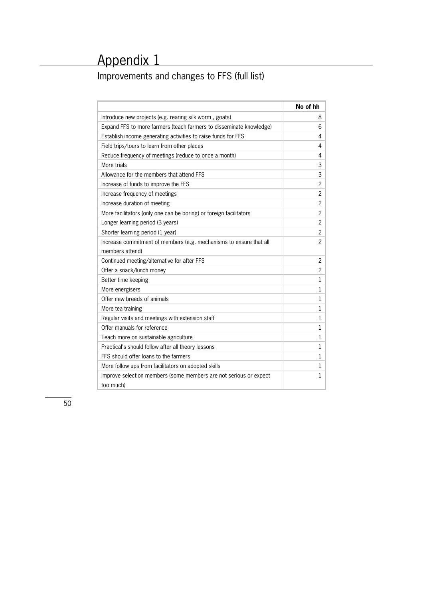# Improvements and changes to FFS (full list)

|                                                                     | No of hh       |
|---------------------------------------------------------------------|----------------|
| Introduce new projects (e.g. rearing silk worm, goats)              | 8              |
| Expand FFS to more farmers (teach farmers to disseminate knowledge) | 6              |
| Establish income generating activities to raise funds for FFS       | 4              |
| Field trips/tours to learn from other places                        | 4              |
| Reduce frequency of meetings (reduce to once a month)               | 4              |
| More trials                                                         | 3              |
| Allowance for the members that attend FFS                           | 3              |
| Increase of funds to improve the FFS                                | 2              |
| Increase frequency of meetings                                      | 2              |
| Increase duration of meeting                                        | $\overline{c}$ |
| More facilitators (only one can be boring) or foreign facilitators  | 2              |
| Longer learning period (3 years)                                    | $\overline{2}$ |
| Shorter learning period (1 year)                                    | $\overline{2}$ |
| Increase commitment of members (e.g. mechanisms to ensure that all  | $\overline{c}$ |
| members attend)                                                     |                |
| Continued meeting/alternative for after FFS                         | 2              |
| Offer a snack/lunch money                                           | $\overline{c}$ |
| Better time keeping                                                 | $\mathbf 1$    |
| More energisers                                                     | 1              |
| Offer new breeds of animals                                         | 1              |
| More tea training                                                   | $\mathbf{1}$   |
| Regular visits and meetings with extension staff                    | 1              |
| Offer manuals for reference                                         | 1              |
| Teach more on sustainable agriculture                               | $\mathbf{1}$   |
| Practical's should follow after all theory lessons                  | 1              |
| FFS should offer loans to the farmers                               | $\mathbf{1}$   |
| More follow ups from facilitators on adopted skills                 | 1              |
| Improve selection members (some members are not serious or expect   | 1              |
| too much)                                                           |                |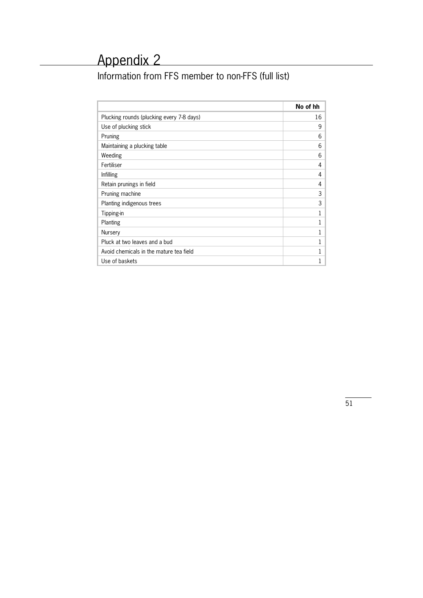Information from FFS member to non-FFS (full list)

|                                           | No of hh |
|-------------------------------------------|----------|
| Plucking rounds (plucking every 7-8 days) | 16       |
| Use of plucking stick                     | 9        |
| Pruning                                   | 6        |
| Maintaining a plucking table              | 6        |
| Weeding                                   | 6        |
| Fertiliser                                | 4        |
| Infilling                                 | 4        |
| Retain prunings in field                  | 4        |
| Pruning machine                           | 3        |
| Planting indigenous trees                 | 3        |
| Tipping-in                                | 1        |
| Planting                                  | 1        |
| Nursery                                   | 1        |
| Pluck at two leaves and a bud             | 1        |
| Avoid chemicals in the mature tea field   |          |
| Use of baskets                            |          |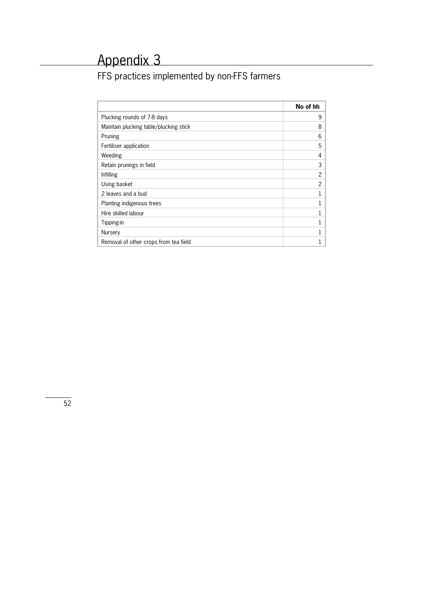# FFS practices implemented by non-FFS farmers

|                                        | No of hh       |
|----------------------------------------|----------------|
| Plucking rounds of 7-8 days            | 9              |
| Maintain plucking table/plucking stick | 8              |
| Pruning                                | 6              |
| Fertiliser application                 | 5              |
| Weeding                                | 4              |
| Retain prunings in field               | 3              |
| Infilling                              | 2              |
| Using basket                           | $\mathfrak{p}$ |
| 2 leaves and a bud                     | 1              |
| Planting indigenous trees              | 1              |
| Hire skilled labour                    | 1              |
| Tipping-in                             |                |
| Nursery                                |                |
| Removal of other crops from tea field  |                |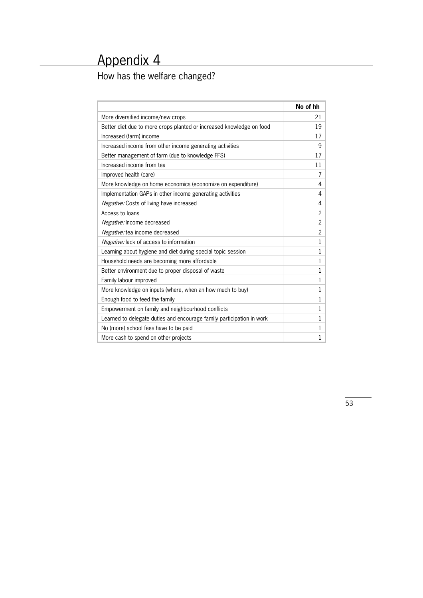# How has the welfare changed?

|                                                                       | No of hh     |
|-----------------------------------------------------------------------|--------------|
| More diversified income/new crops                                     | 21           |
| Better diet due to more crops planted or increased knowledge on food  | 19           |
| Increased (farm) income                                               | 17           |
| Increased income from other income generating activities              | 9            |
| Better management of farm (due to knowledge FFS)                      | 17           |
| Increased income from tea                                             | 11           |
| Improved health (care)                                                | 7            |
| More knowledge on home economics (economize on expenditure)           | 4            |
| Implementation GAPs in other income generating activities             | 4            |
| Negative: Costs of living have increased                              | 4            |
| Access to loans                                                       | 2            |
| Negative: Income decreased                                            | 2            |
| Negative: tea income decreased                                        | 2            |
| Negative: lack of access to information                               | 1            |
| Learning about hygiene and diet during special topic session          | 1            |
| Household needs are becoming more affordable                          | $\mathbf{1}$ |
| Better environment due to proper disposal of waste                    | 1            |
| Family labour improved                                                | $\mathbf{1}$ |
| More knowledge on inputs (where, when an how much to buy)             | 1            |
| Enough food to feed the family                                        | 1            |
| Empowerment on family and neighbourhood conflicts                     | $\mathbf{1}$ |
| Learned to delegate duties and encourage family participation in work | 1            |
| No (more) school fees have to be paid                                 | 1            |
| More cash to spend on other projects                                  | 1            |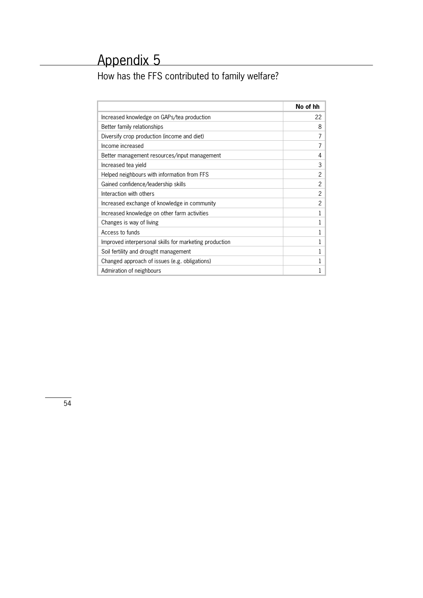How has the FFS contributed to family welfare?

|                                                        | No of hh       |
|--------------------------------------------------------|----------------|
| Increased knowledge on GAPs/tea production             | 22             |
| Better family relationships                            | 8              |
| Diversify crop production (income and diet)            | 7              |
| Income increased                                       | 7              |
| Better management resources/input management           | 4              |
| Increased tea yield                                    | 3              |
| Helped neighbours with information from FFS            | 2              |
| Gained confidence/leadership skills                    | 2              |
| Interaction with others                                | 2              |
| Increased exchange of knowledge in community           | $\overline{2}$ |
| Increased knowledge on other farm activities           | 1              |
| Changes is way of living                               | 1              |
| Access to funds                                        |                |
| Improved interpersonal skills for marketing production |                |
| Soil fertility and drought management                  | 1              |
| Changed approach of issues (e.g. obligations)          | 1              |
| Admiration of neighbours                               |                |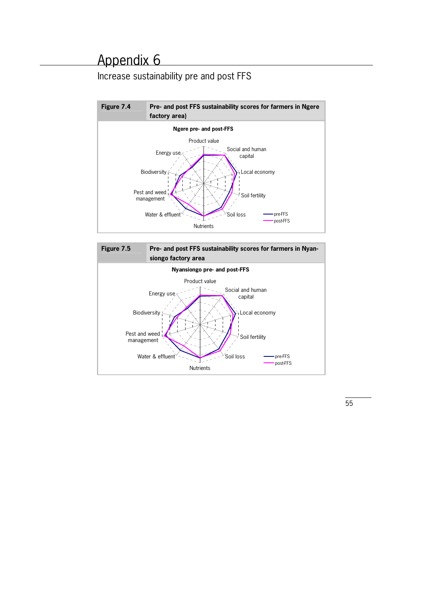# Increase sustainability pre and post FFS